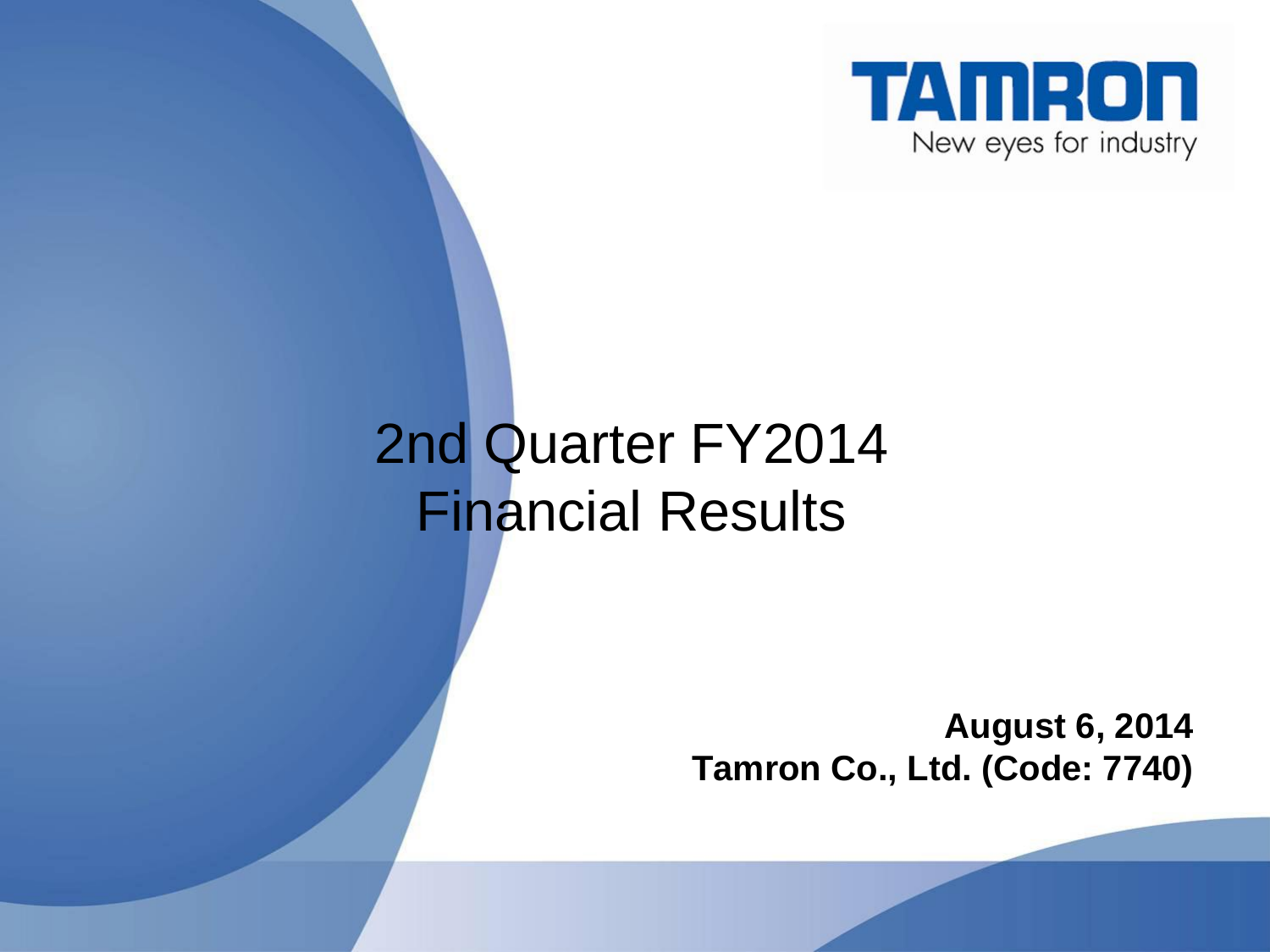

## 2nd Quarter FY2014 Financial Results

**August 6, 2014 Tamron Co., Ltd. (Code: 7740)**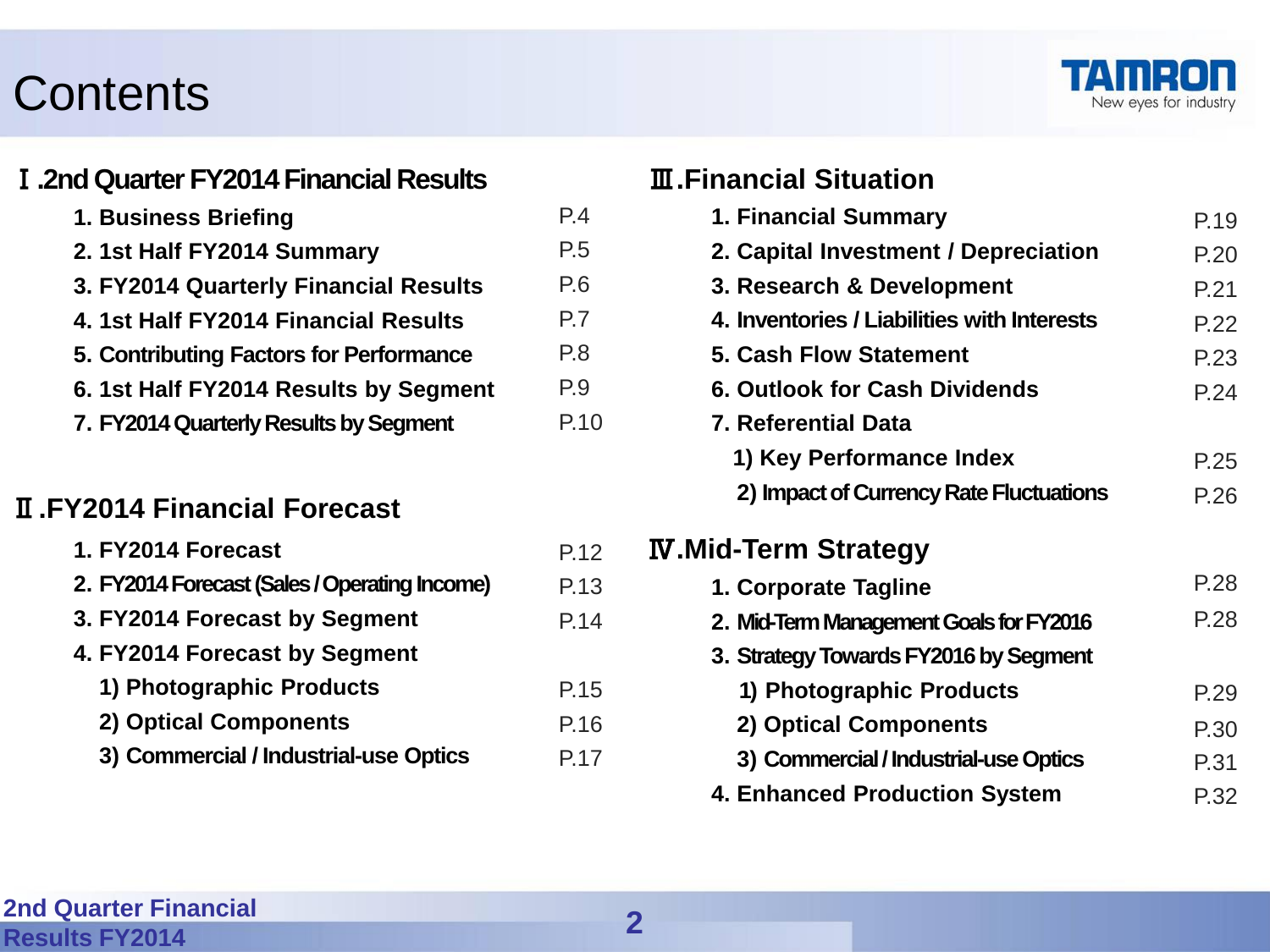#### **Contents**



#### Ⅰ**.2nd Quarter FY2014 Financial Results**

| 1. Business Briefing                    | P.4  |
|-----------------------------------------|------|
| 2. 1st Half FY2014 Summary              | P.5  |
| 3. FY2014 Quarterly Financial Results   | P.6  |
| 4. 1st Half FY2014 Financial Results    | P.7  |
| 5. Contributing Factors for Performance | P.8  |
| 6. 1st Half FY2014 Results by Segment   | P.9  |
| 7. FY2014 Quarterly Results by Segment  | P.10 |

#### Ⅱ**.FY2014 Financial Forecast**

| P.12 |
|------|
| P.13 |
| P.14 |
|      |
| P.15 |
| P.16 |
| P.17 |
|      |

#### Ⅲ**.Financial Situation**

| 1. Financial Summary                        | P.19 |
|---------------------------------------------|------|
| 2. Capital Investment / Depreciation        | P.20 |
| 3. Research & Development                   | P.21 |
| 4. Inventories / Liabilities with Interests | P.22 |
| 5. Cash Flow Statement                      | P.23 |
| 6. Outlook for Cash Dividends               | P.24 |
| <b>7. Referential Data</b>                  |      |
| 1) Key Performance Index                    | P.25 |
| 2) Impact of Currency Rate Fluctuations     | P 26 |
|                                             |      |

#### Ⅳ**.Mid-Term Strategy**

| 1. Corporate Tagline                    | P.28 |
|-----------------------------------------|------|
| 2. Mid-Term Management Goals for FY2016 | P.28 |
| 3. Strategy Towards FY2016 by Segment   |      |
| 1) Photographic Products                | P.29 |
| 2) Optical Components                   | P.30 |
| 3) Commercial / Industrial-use Optics   | P.31 |
| <b>4. Enhanced Production System</b>    | P.32 |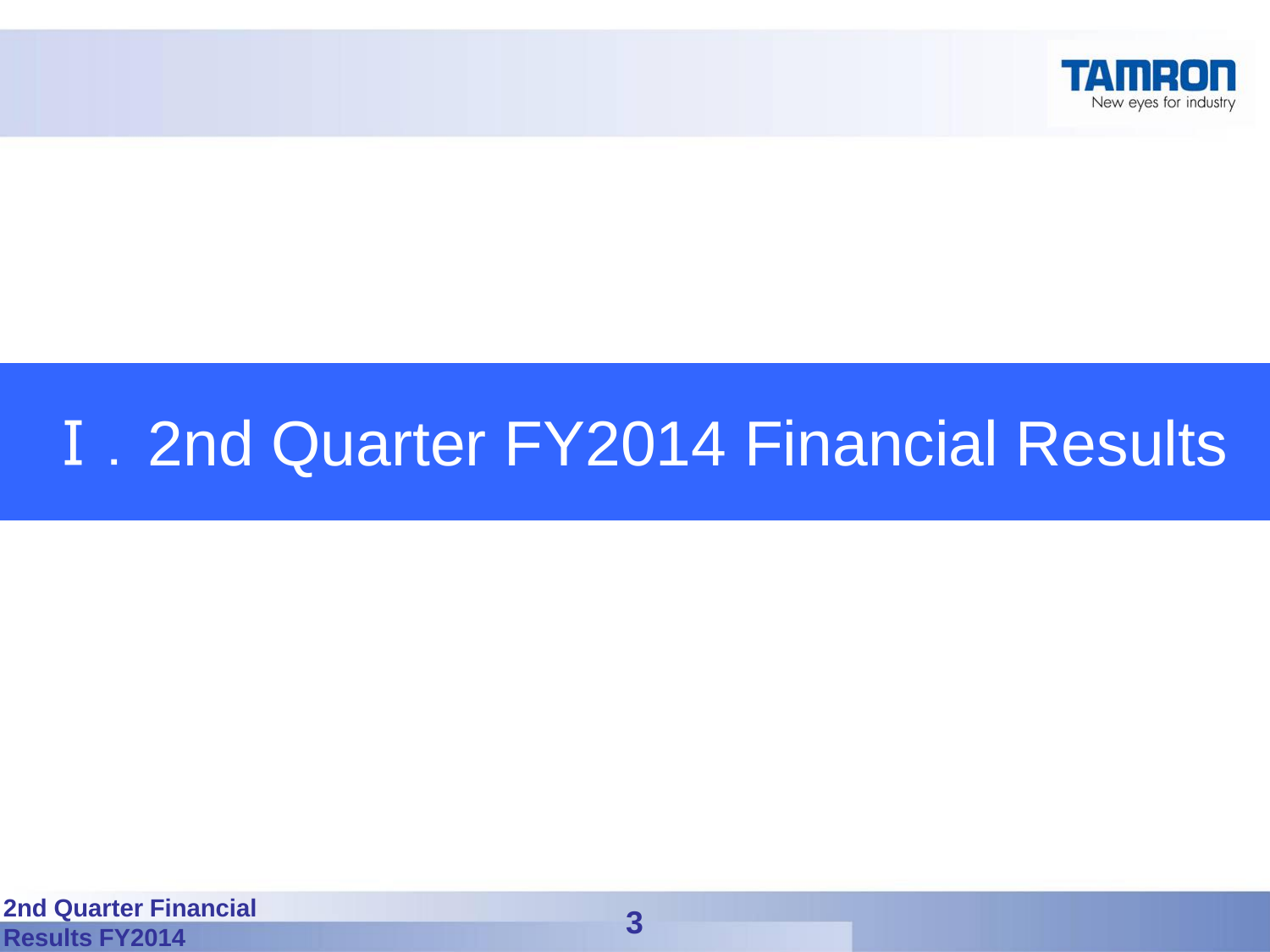

## Ⅰ.2nd Quarter FY2014 Financial Results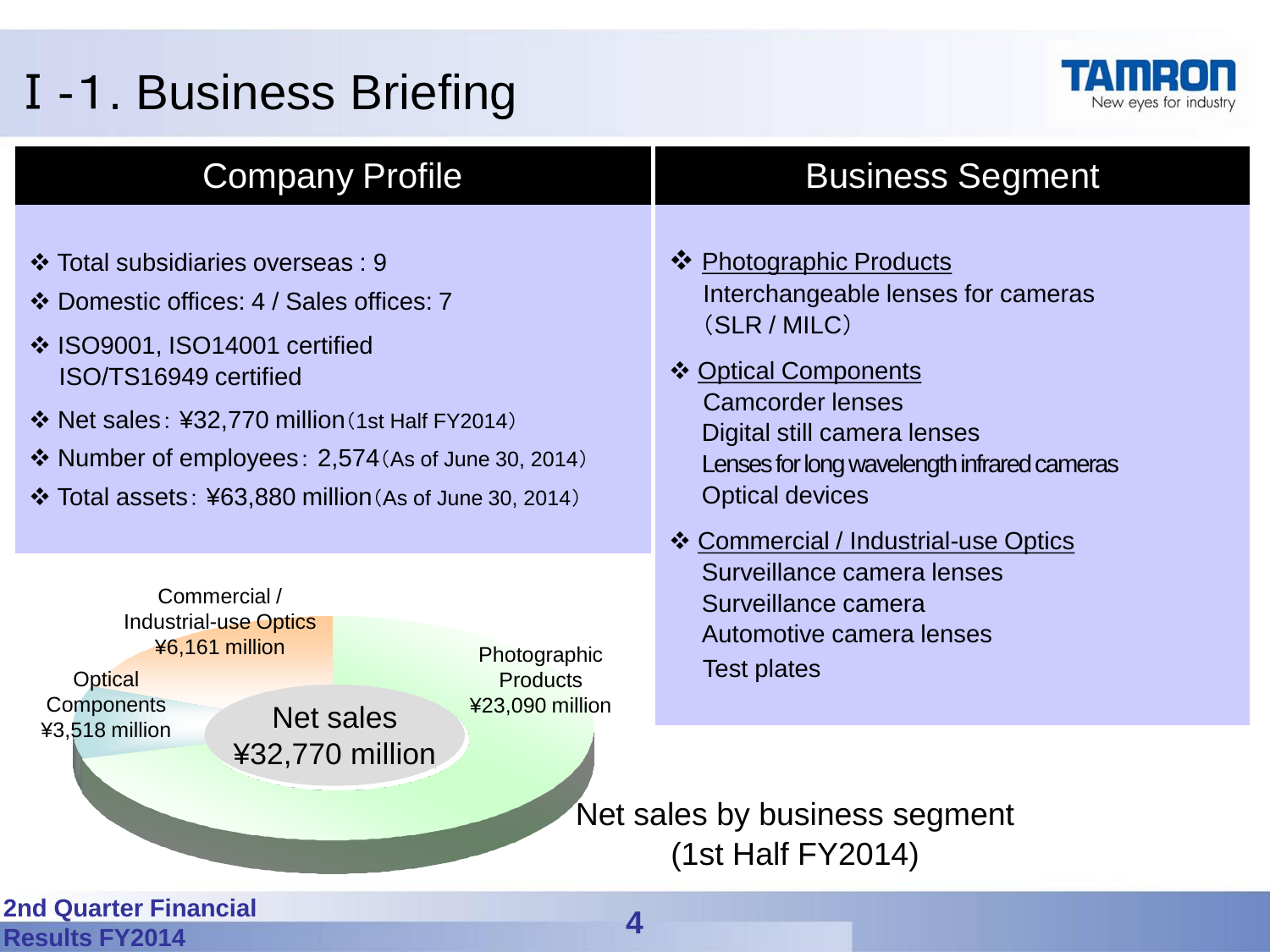## Ⅰ-1. Business Briefing



#### **2nd Quarter Financial**  Net sales ¥32,770 million Photographic **Products** ¥23,090 million **Optical Components** ¥3,518 million Commercial / Industrial-use Optics ¥6,161 million Net sales by business segment (1st Half FY2014) Total subsidiaries overseas : 9 Domestic offices: 4 / Sales offices: 7 **❖ ISO9001, ISO14001 certified**  ISO/TS16949 certified Net sales: ¥32,770 million(1st Half FY2014)  $\cdot$  Number of employees: 2,574 (As of June 30, 2014) Total assets: ¥63,880 million(As of June 30, 2014) Company Profile ❖ Photographic Products Interchangeable lenses for cameras (SLR / MILC) ❖ Optical Components Camcorder lenses Digital still camera lenses Lenses for long wavelength infrared cameras Optical devices Commercial / Industrial-use Optics Surveillance camera lenses Surveillance camera Automotive camera lenses Test plates Business Segment

**Results FY2014 4**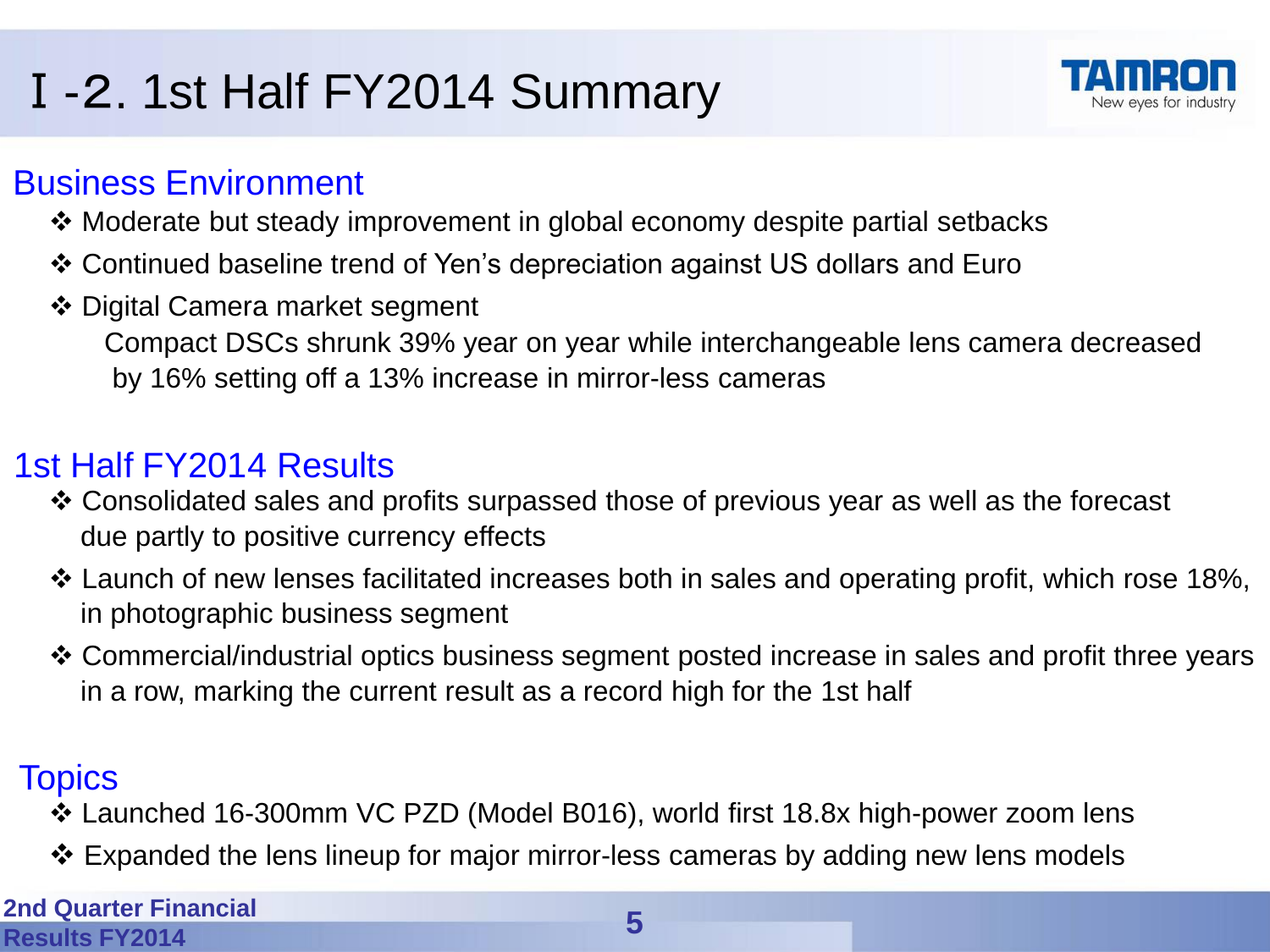## Ⅰ-2. 1st Half FY2014 Summary



#### Business Environment

- Moderate but steady improvement in global economy despite partial setbacks
- Continued baseline trend of Yen's depreciation against US dollars and Euro
- Digital Camera market segment

 Compact DSCs shrunk 39% year on year while interchangeable lens camera decreased by 16% setting off a 13% increase in mirror-less cameras

#### 1st Half FY2014 Results

- Consolidated sales and profits surpassed those of previous year as well as the forecast due partly to positive currency effects
- Launch of new lenses facilitated increases both in sales and operating profit, which rose 18%, in photographic business segment
- Commercial/industrial optics business segment posted increase in sales and profit three years in a row, marking the current result as a record high for the 1st half

#### **Topics**

- Launched 16-300mm VC PZD (Model B016), world first 18.8x high-power zoom lens
- ❖ Expanded the lens lineup for major mirror-less cameras by adding new lens models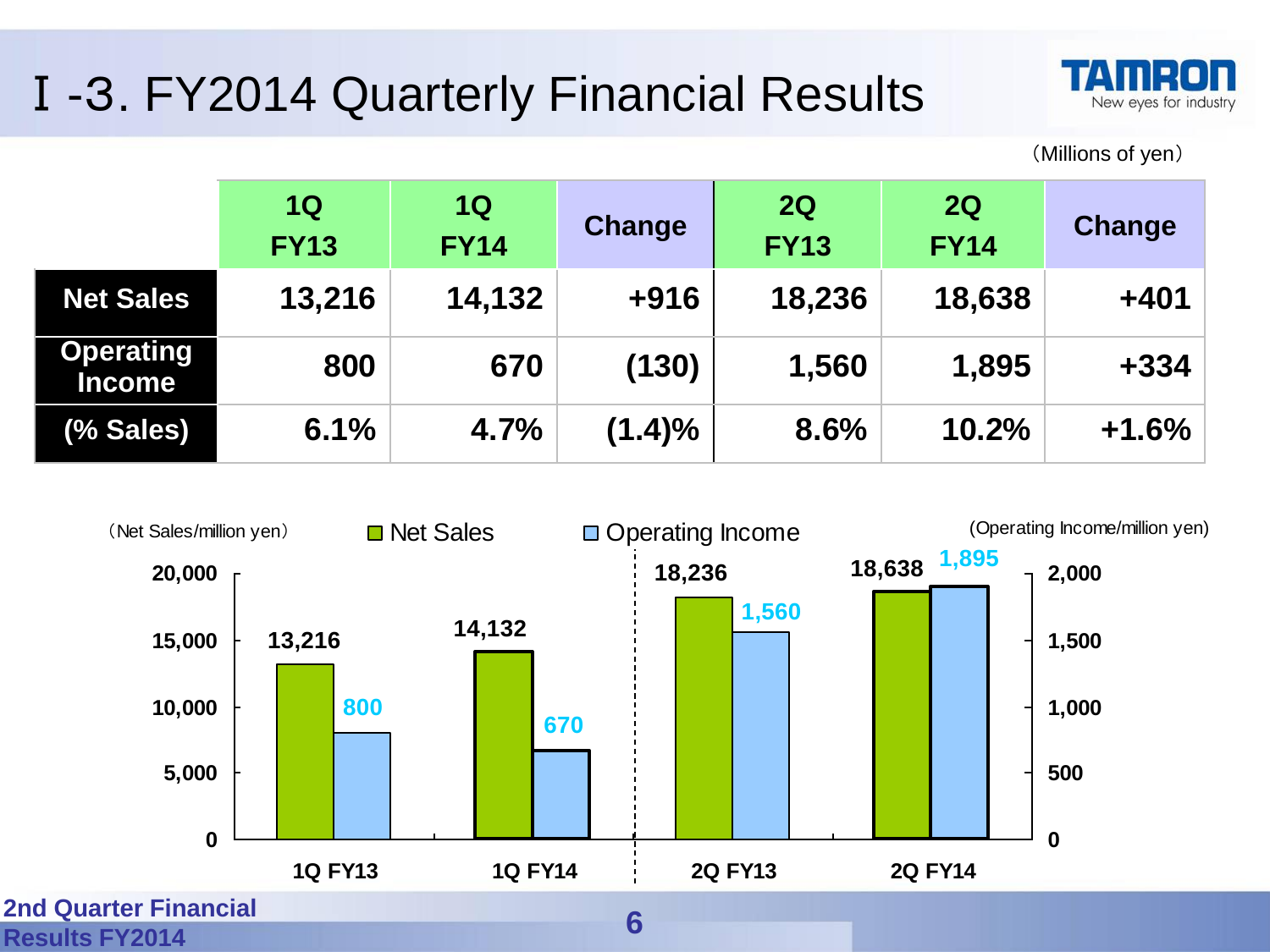## Ⅰ-3. FY2014 Quarterly Financial Results



(Millions of yen)

|                                   | 1Q<br><b>FY13</b> | 1Q<br><b>FY14</b> | <b>Change</b> | 2Q<br><b>FY13</b> | 2Q<br><b>FY14</b> | <b>Change</b> |
|-----------------------------------|-------------------|-------------------|---------------|-------------------|-------------------|---------------|
| <b>Net Sales</b>                  | 13,216            | 14,132            | $+916$        | 18,236            | 18,638            | $+401$        |
| <b>Operating</b><br><b>Income</b> | 800               | 670               | (130)         | 1,560             | 1,895             | $+334$        |
| (% Sales)                         | 6.1%              | 4.7%              | $(1.4)\%$     | 8.6%              | 10.2%             | $+1.6%$       |

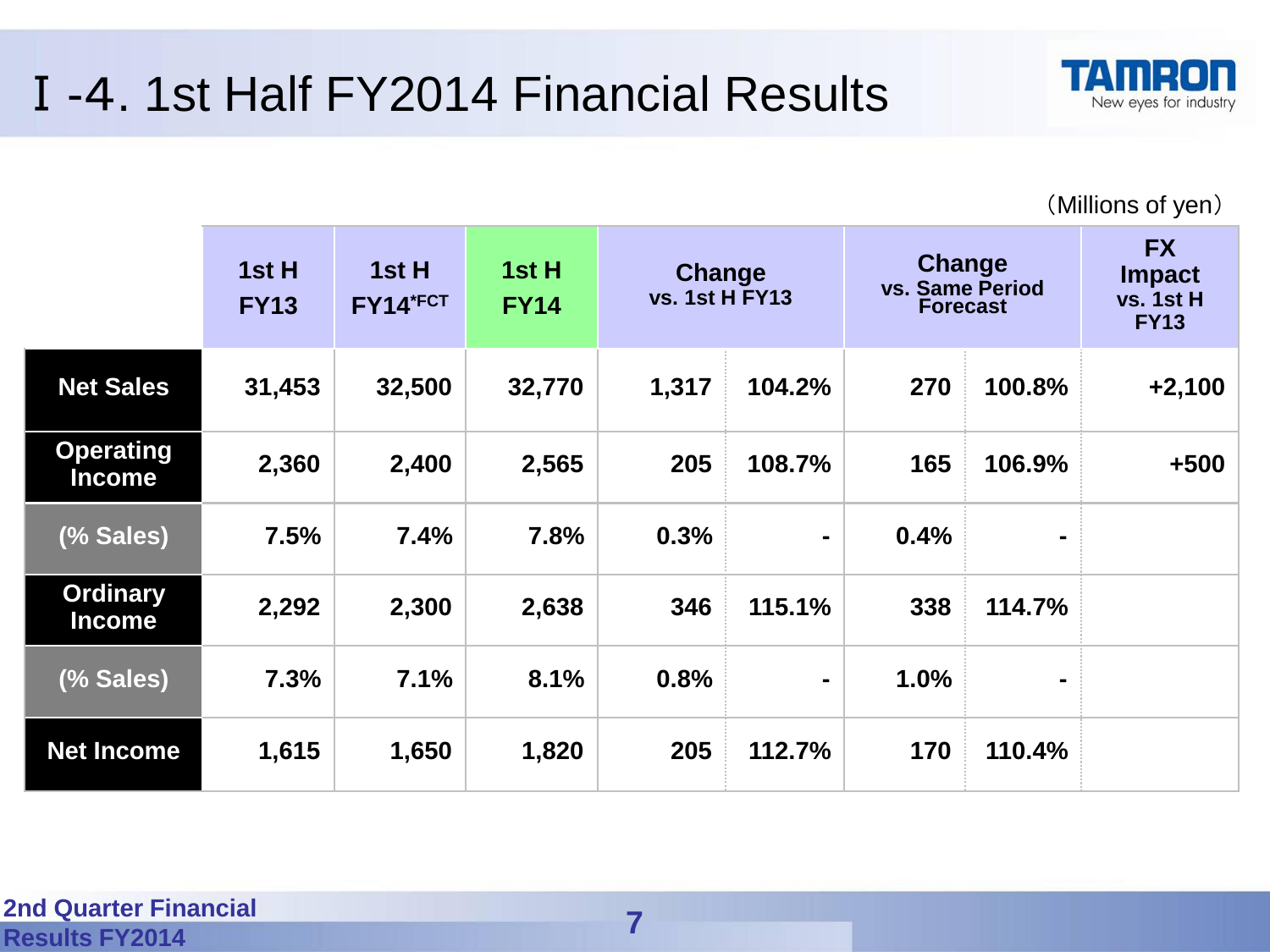

(Millions of yen)

|                                   | 1st H<br><b>FY13</b> | 1st H<br>FY14*FCT | 1st H<br><b>FY14</b> | Change<br><b>vs. 1st H FY13</b> |                | Change<br>vs. Same Period<br><b>Forecast</b> |                | <b>FX</b><br><b>Impact</b><br>vs. 1st H<br><b>FY13</b> |
|-----------------------------------|----------------------|-------------------|----------------------|---------------------------------|----------------|----------------------------------------------|----------------|--------------------------------------------------------|
| <b>Net Sales</b>                  | 31,453               | 32,500            | 32,770               | 1,317                           | 104.2%         | 270                                          | 100.8%         | $+2,100$                                               |
| <b>Operating</b><br><b>Income</b> | 2,360                | 2,400             | 2,565                | 205                             | 108.7%         | 165                                          | 106.9%         | $+500$                                                 |
| (% Sales)                         | 7.5%                 | 7.4%              | 7.8%                 | 0.3%                            | $\blacksquare$ | 0.4%                                         | $\blacksquare$ |                                                        |
| <b>Ordinary</b><br><b>Income</b>  | 2,292                | 2,300             | 2,638                | 346                             | 115.1%         | 338                                          | 114.7%         |                                                        |
| (% Sales)                         | 7.3%                 | 7.1%              | 8.1%                 | 0.8%                            | $\blacksquare$ | 1.0%                                         | ۰              |                                                        |
| <b>Net Income</b>                 | 1,615                | 1,650             | 1,820                | 205                             | 112.7%         | 170                                          | 110.4%         |                                                        |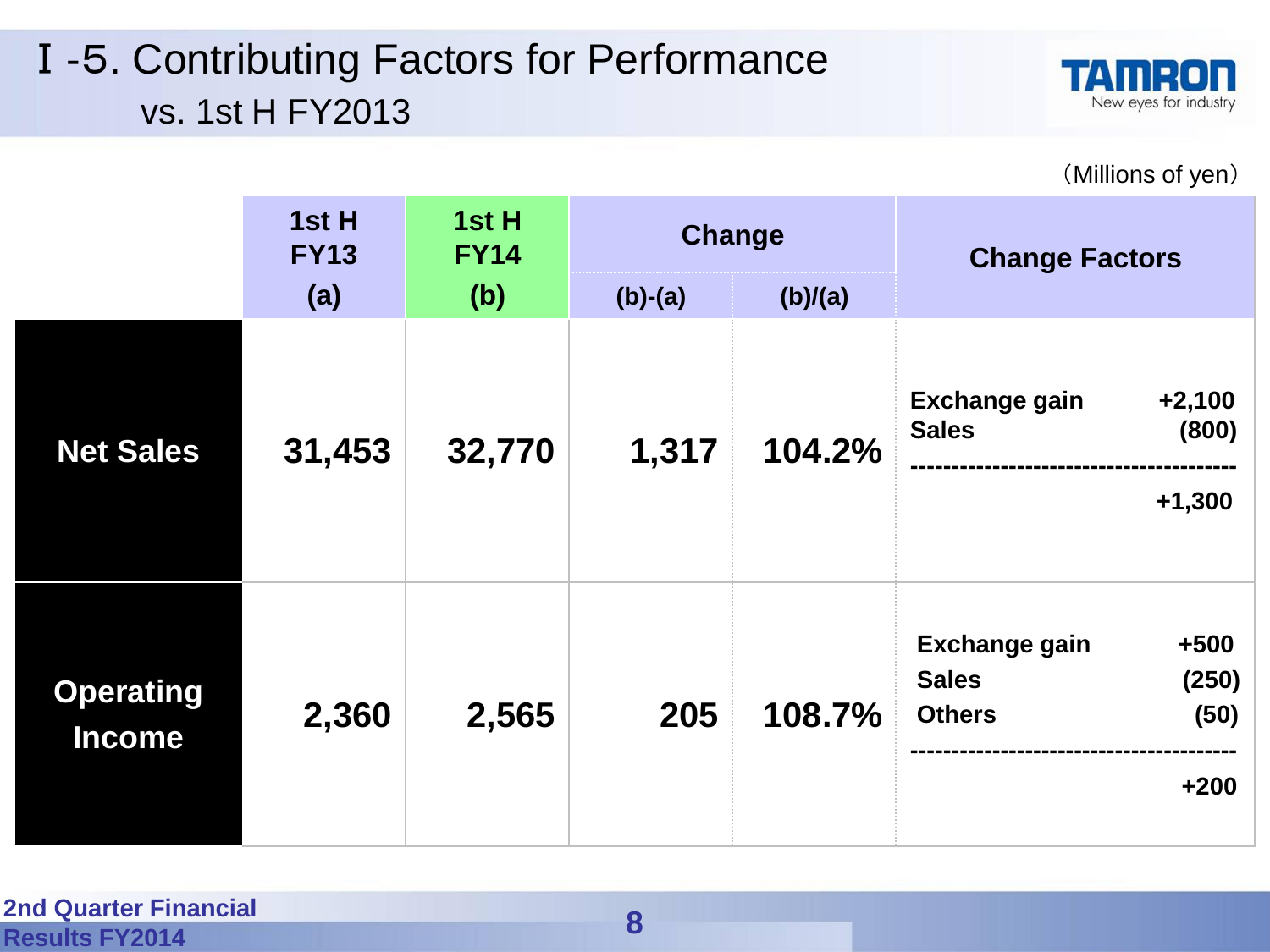#### Ⅰ-5. Contributing Factors for Performance vs. 1st H FY2013



(Millions of yen)

|                                   | 1st H<br><b>FY13</b> | 1st H<br>Change<br><b>FY14</b> |           | <b>Change Factors</b> |                                                                                            |
|-----------------------------------|----------------------|--------------------------------|-----------|-----------------------|--------------------------------------------------------------------------------------------|
|                                   | (a)                  | (b)                            | $(b)-(a)$ | (b)/(a)               |                                                                                            |
| <b>Net Sales</b>                  | 31,453               | 32,770                         | 1,317     | 104.2%                | <b>Exchange gain</b><br>$+2,100$<br><b>Sales</b><br>(800)<br>$+1,300$                      |
| <b>Operating</b><br><b>Income</b> | 2,360                | 2,565                          | 205       | 108.7%                | <b>Exchange gain</b><br>$+500$<br><b>Sales</b><br>(250)<br><b>Others</b><br>(50)<br>$+200$ |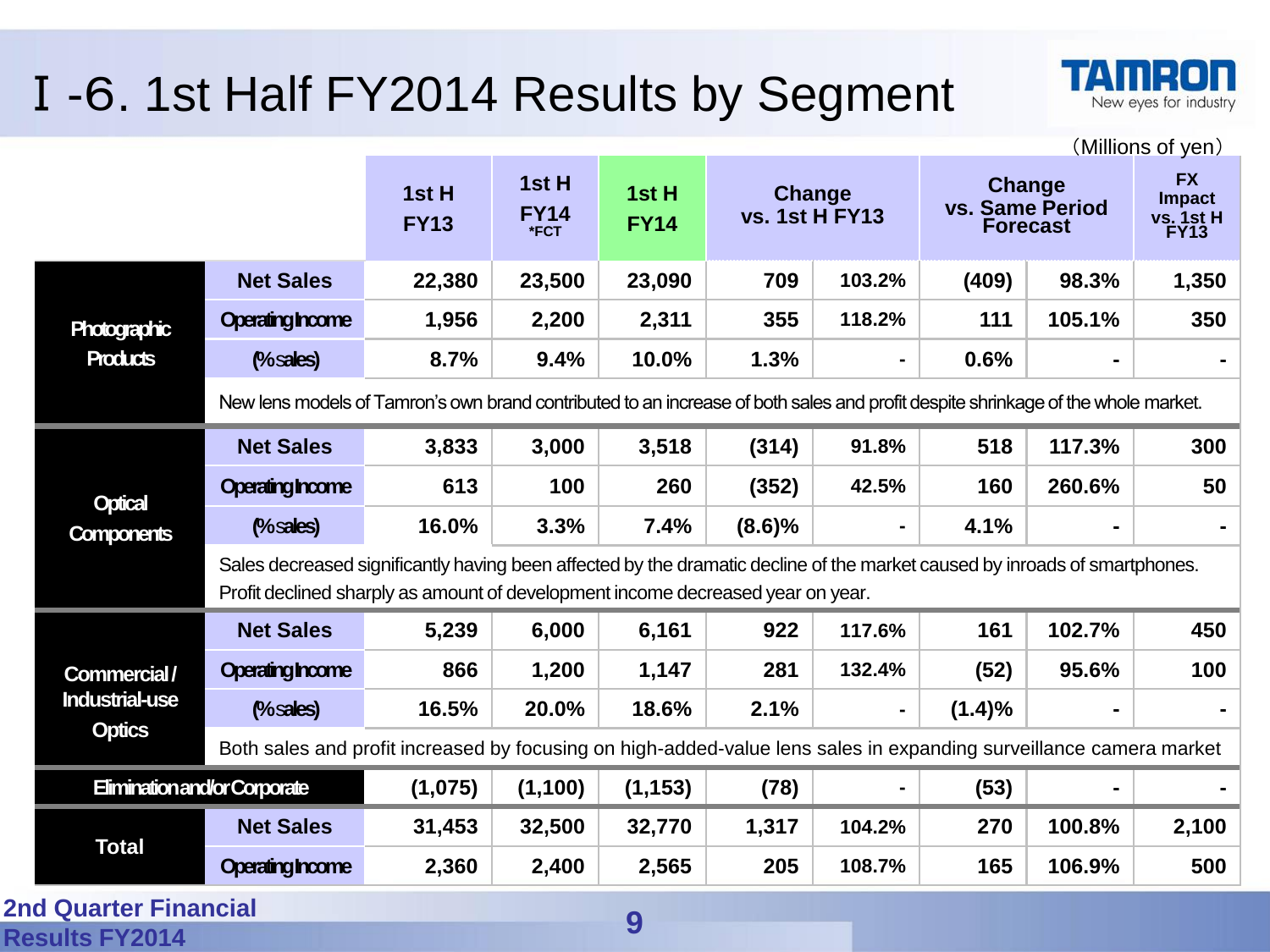## Ⅰ-6. 1st Half FY2014 Results by Segment



| (Millions of yen)                   |                                                                                                                                                                                                               |         |                              |                      |                                 |                |                                              |                |                                          |  |
|-------------------------------------|---------------------------------------------------------------------------------------------------------------------------------------------------------------------------------------------------------------|---------|------------------------------|----------------------|---------------------------------|----------------|----------------------------------------------|----------------|------------------------------------------|--|
|                                     |                                                                                                                                                                                                               |         | 1st H<br><b>FY14</b><br>*FCT | 1st H<br><b>FY14</b> | Change<br><b>vs. 1st H FY13</b> |                | Change<br>vs. Same Period<br><b>Forecast</b> |                | <b>FX</b><br>Impact<br>vs. 1st H<br>FY13 |  |
|                                     | <b>Net Sales</b>                                                                                                                                                                                              | 22,380  | 23,500                       | 23,090               | 709                             | 103.2%         | (409)                                        | 98.3%          | 1,350                                    |  |
| <b>Photographic</b>                 | <b>Operating Income</b>                                                                                                                                                                                       | 1,956   | 2,200                        | 2,311                | 355                             | 118.2%         | 111                                          | 105.1%         | 350                                      |  |
| <b>Products</b>                     | % <sub>s</sub> ales)                                                                                                                                                                                          | 8.7%    | 9.4%                         | 10.0%                | 1.3%                            | $\blacksquare$ | 0.6%                                         | $\blacksquare$ |                                          |  |
|                                     | New lens models of Tamron's own brand contributed to an increase of both sales and profit despite shrinkage of the whole market.                                                                              |         |                              |                      |                                 |                |                                              |                |                                          |  |
|                                     | <b>Net Sales</b>                                                                                                                                                                                              | 3,833   | 3,000                        | 3,518                | (314)                           | 91.8%          | 518                                          | 117.3%         | 300                                      |  |
| <b>Optical</b>                      | <b>Operating Income</b>                                                                                                                                                                                       | 613     | 100                          | 260                  | (352)                           | 42.5%          | 160                                          | 260.6%         | 50                                       |  |
| <b>Components</b>                   | % <sub>s</sub> ales)                                                                                                                                                                                          | 16.0%   | 3.3%                         | 7.4%                 | (8.6)%                          | $\blacksquare$ | 4.1%                                         | $\blacksquare$ |                                          |  |
|                                     | Sales decreased significantly having been affected by the dramatic decline of the market caused by inroads of smartphones.<br>Profit declined sharply as amount of development income decreased year on year. |         |                              |                      |                                 |                |                                              |                |                                          |  |
|                                     | <b>Net Sales</b>                                                                                                                                                                                              | 5,239   | 6,000                        | 6,161                | 922                             | 117.6%         | 161                                          | 102.7%         | 450                                      |  |
| Commercial/                         | <b>Operating Income</b>                                                                                                                                                                                       | 866     | 1,200                        | 1,147                | 281                             | 132.4%         | (52)                                         | 95.6%          | 100                                      |  |
| <b>Industrial-use</b>               | (%sales)                                                                                                                                                                                                      | 16.5%   | 20.0%                        | 18.6%                | 2.1%                            | $\blacksquare$ | (1.4)%                                       | $\blacksquare$ |                                          |  |
| <b>Optics</b>                       | Both sales and profit increased by focusing on high-added-value lens sales in expanding surveillance camera market                                                                                            |         |                              |                      |                                 |                |                                              |                |                                          |  |
| <b>Elimination and/or Corporate</b> |                                                                                                                                                                                                               | (1,075) | (1, 100)                     | (1, 153)             | (78)                            |                | (53)                                         |                |                                          |  |
| <b>Total</b>                        | <b>Net Sales</b>                                                                                                                                                                                              | 31,453  | 32,500                       | 32,770               | 1,317                           | 104.2%         | 270                                          | 100.8%         | 2,100                                    |  |
|                                     | <b>Operating Income</b>                                                                                                                                                                                       | 2,360   | 2,400                        | 2,565                | 205                             | 108.7%         | 165                                          | 106.9%         | 500                                      |  |
|                                     |                                                                                                                                                                                                               |         |                              |                      |                                 |                |                                              |                |                                          |  |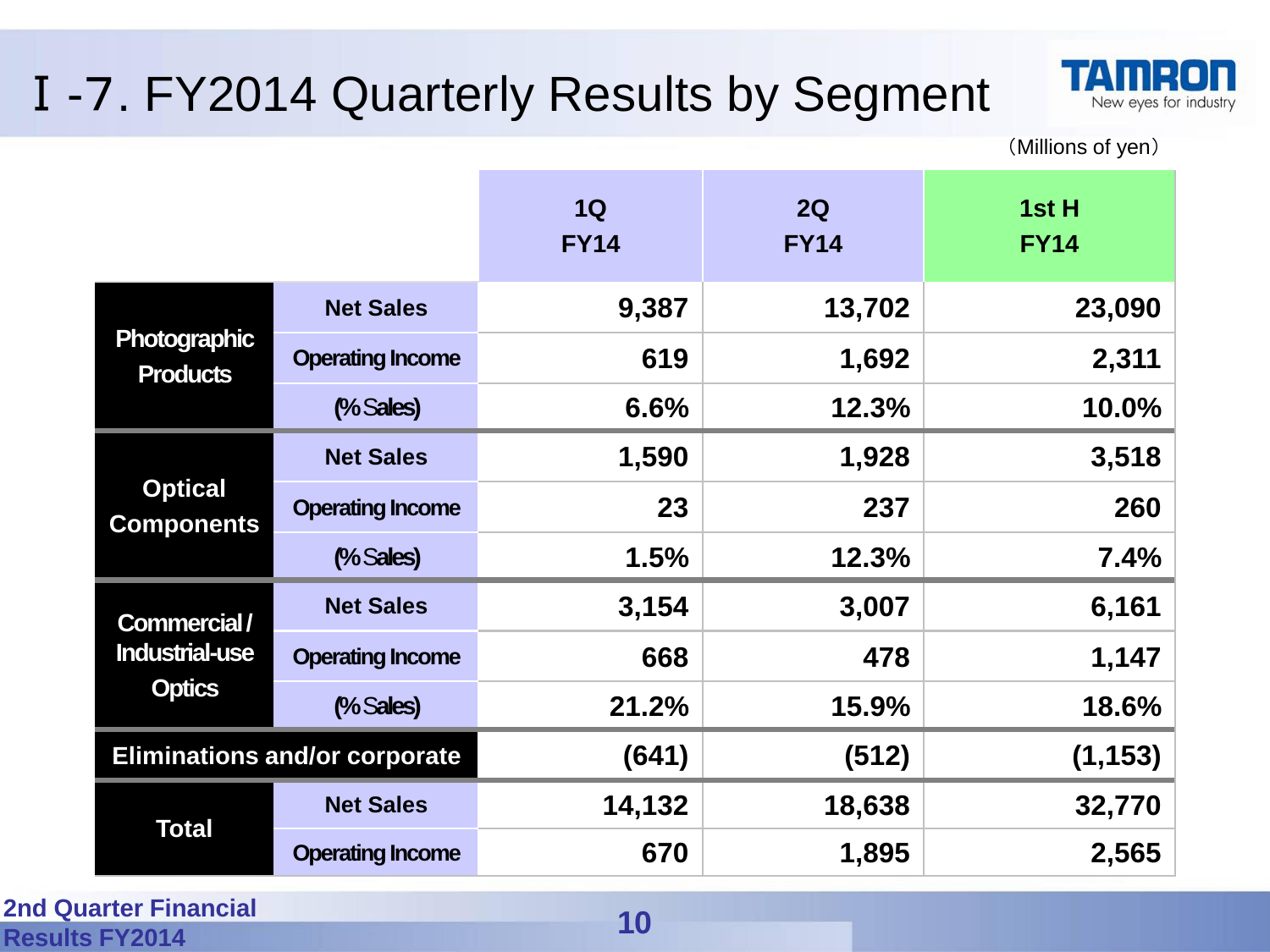## Ⅰ-7. FY2014 Quarterly Results by Segment



(Millions of yen)

|                                        |                         | 1Q<br><b>FY14</b> | 2Q<br><b>FY14</b> | 1st H<br><b>FY14</b> |
|----------------------------------------|-------------------------|-------------------|-------------------|----------------------|
|                                        | <b>Net Sales</b>        | 9,387             | 13,702            | 23,090               |
| <b>Photographic</b><br><b>Products</b> | <b>Operating Income</b> | 619               | 1,692             | 2,311                |
|                                        | $%$ Sales $)$           | 6.6%              | 12.3%             | 10.0%                |
|                                        | <b>Net Sales</b>        | 1,590             | 1,928             | 3,518                |
| <b>Optical</b><br><b>Components</b>    | <b>Operating Income</b> | 23                | 237               | 260                  |
|                                        | $%$ Sales $)$           | 1.5%              | 12.3%             | 7.4%                 |
| Commercial/                            | <b>Net Sales</b>        | 3,154             | 3,007             | 6,161                |
| <b>Industrial-use</b>                  | <b>Operating Income</b> | 668               | 478               | 1,147                |
| <b>Optics</b>                          | $%$ Sales $)$           | 21.2%             | 15.9%             | 18.6%                |
| <b>Eliminations and/or corporate</b>   |                         | (641)             | (512)             | (1, 153)             |
|                                        | <b>Net Sales</b>        | 14,132            | 18,638            | 32,770               |
| <b>Total</b>                           | <b>Operating Income</b> | 670               | 1,895             | 2,565                |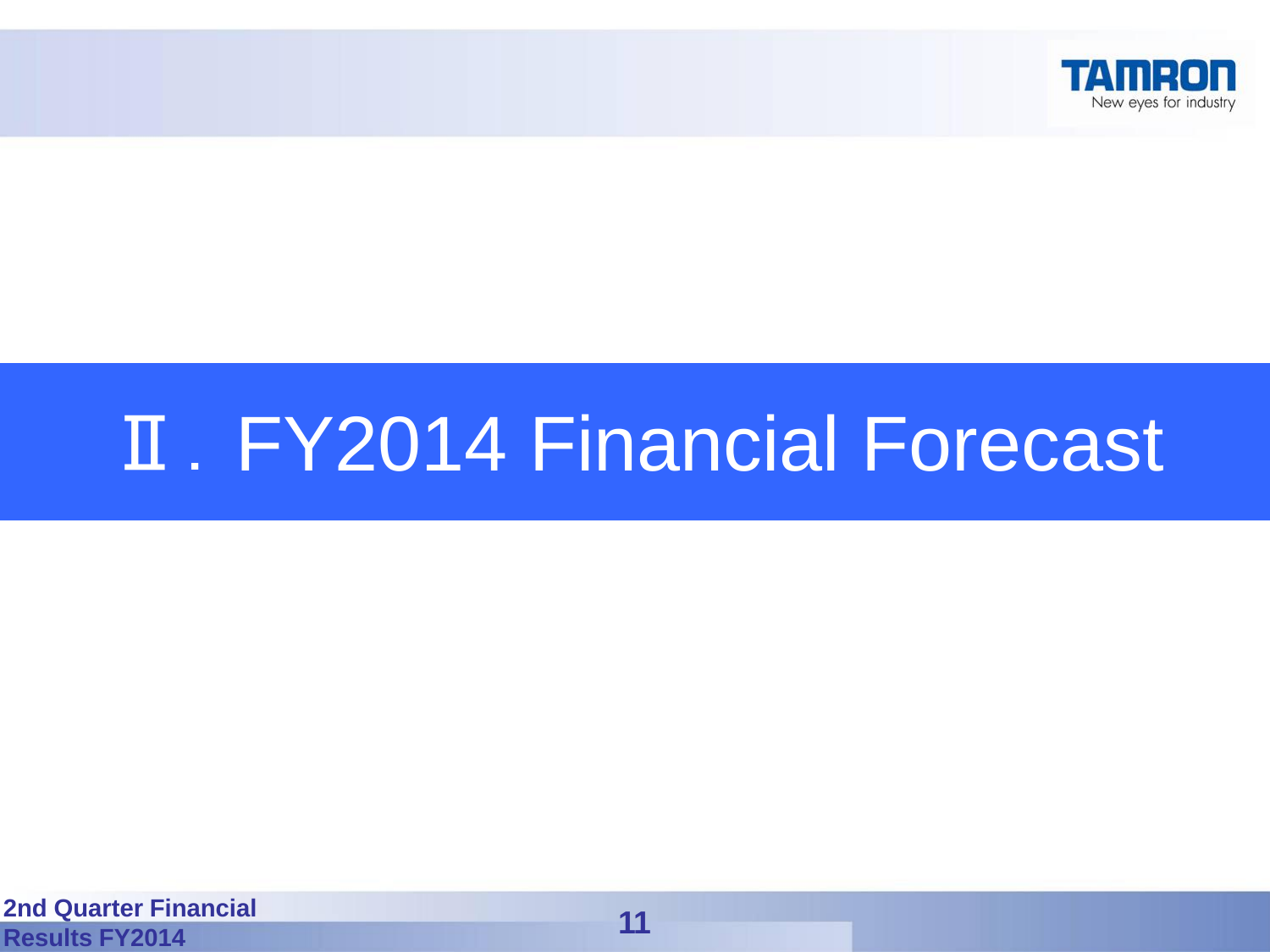

# Ⅱ.FY2014 Financial Forecast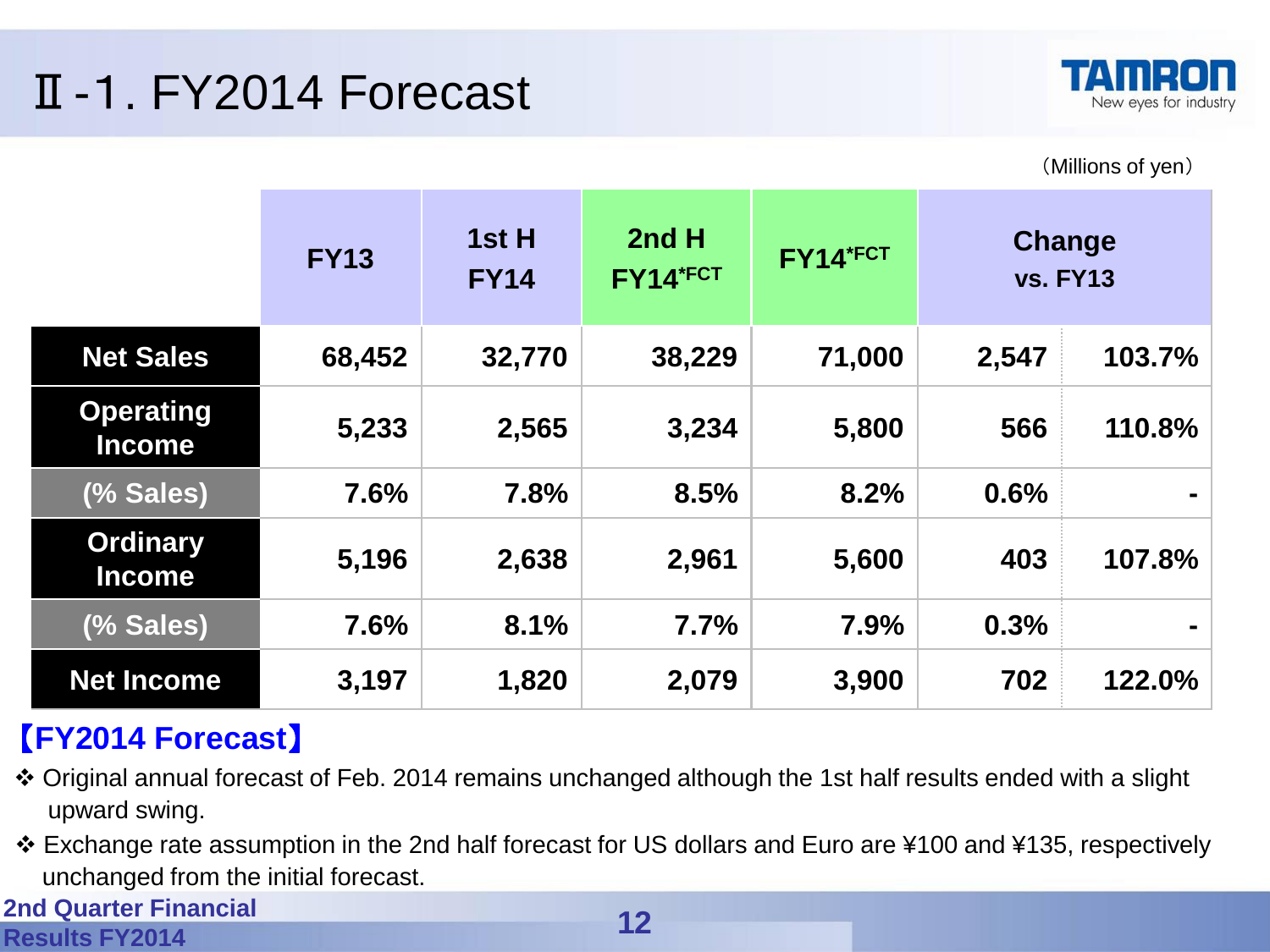#### Ⅱ-1. FY2014 Forecast



(Millions of yen)

|                                   | <b>FY13</b> | 1st H<br><b>FY14</b> | 2nd H<br>FY14*FCT | FY14*FCT |       | Change<br><b>vs. FY13</b> |
|-----------------------------------|-------------|----------------------|-------------------|----------|-------|---------------------------|
| <b>Net Sales</b>                  | 68,452      | 32,770               | 38,229            | 71,000   | 2,547 | 103.7%                    |
| <b>Operating</b><br><b>Income</b> | 5,233       | 2,565                | 3,234             | 5,800    | 566   | 110.8%                    |
| (% Sales)                         | 7.6%        | 7.8%                 | 8.5%              | 8.2%     | 0.6%  |                           |
| <b>Ordinary</b><br><b>Income</b>  | 5,196       | 2,638                | 2,961             | 5,600    | 403   | 107.8%                    |
| (% Sales)                         | 7.6%        | 8.1%                 | 7.7%              | 7.9%     | 0.3%  |                           |
| <b>Net Income</b>                 | 3,197       | 1,820                | 2,079             | 3,900    | 702   | 122.0%                    |

#### 【**FY2014 Forecast**】

- Original annual forecast of Feb. 2014 remains unchanged although the 1st half results ended with a slight upward swing.
- Exchange rate assumption in the 2nd half forecast for US dollars and Euro are ¥100 and ¥135, respectively unchanged from the initial forecast.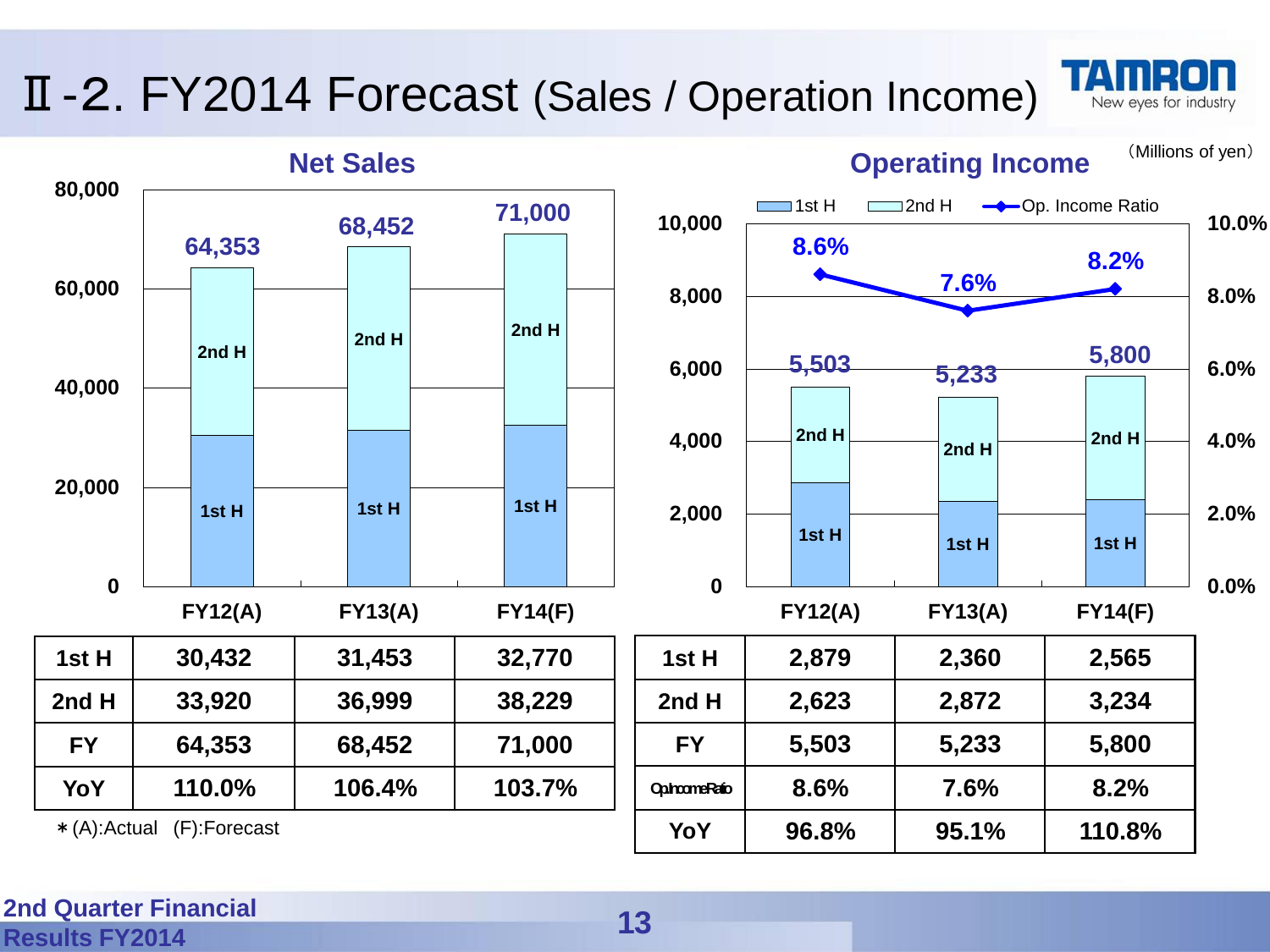#### Ⅱ-2. FY2014 Forecast (Sales / Operation Income)

New eyes for industry

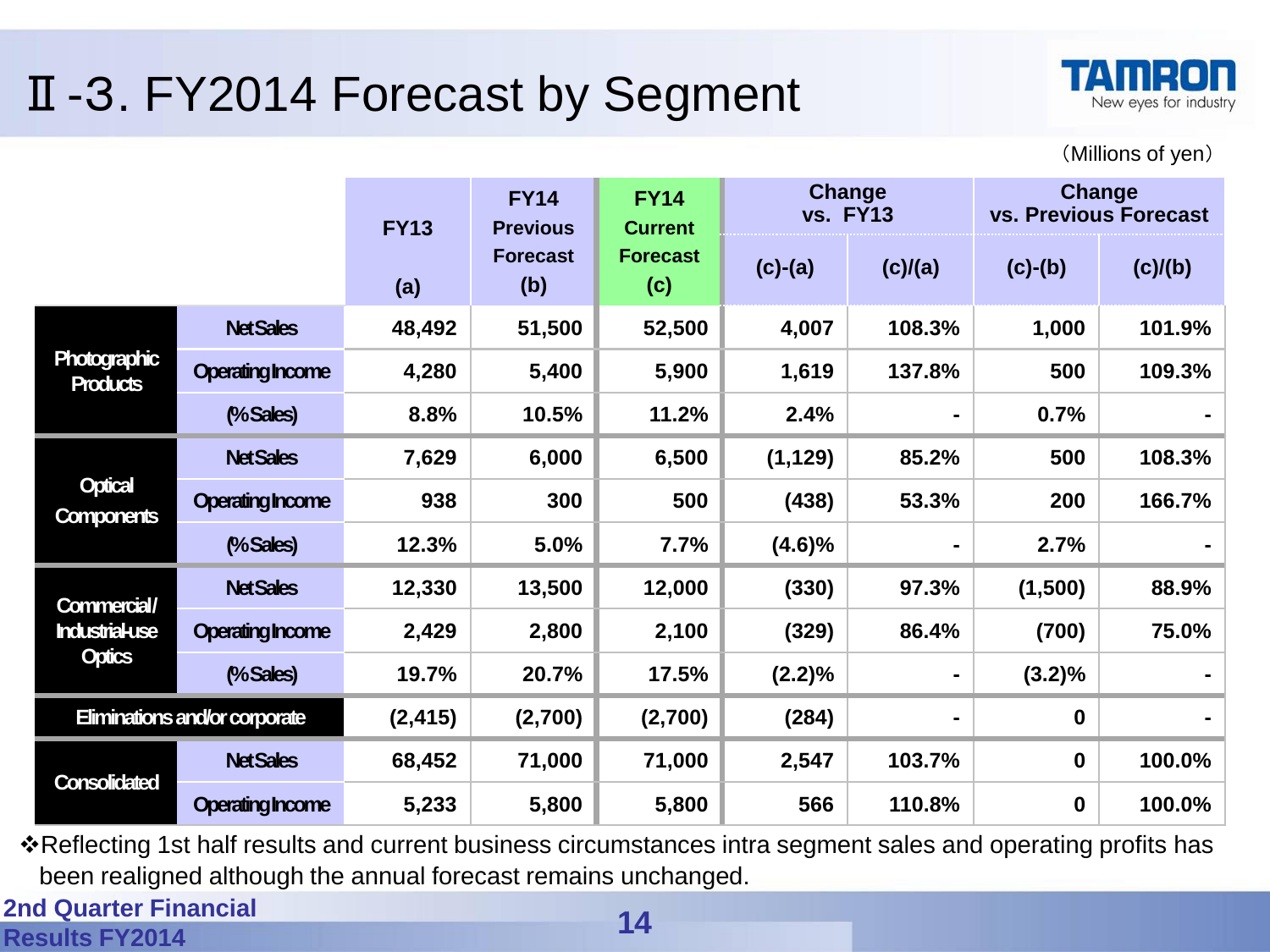## Ⅱ-3. FY2014 Forecast by Segment



(Millions of yen)

|                                        |                         | <b>FY13</b>                                             | <b>FY14</b><br><b>FY14</b><br><b>vs. FY13</b><br><b>Previous</b><br><b>Current</b> |         | Change    |         | <b>Change</b><br>vs. Previous Forecast |         |
|----------------------------------------|-------------------------|---------------------------------------------------------|------------------------------------------------------------------------------------|---------|-----------|---------|----------------------------------------|---------|
|                                        |                         | <b>Forecast</b><br><b>Forecast</b><br>(b)<br>(c)<br>(a) |                                                                                    |         | $(c)-(a)$ | (c)/(a) | $(c)-(b)$                              | (c)/(b) |
|                                        | <b>Net Sales</b>        | 48,492                                                  | 51,500                                                                             | 52,500  | 4,007     | 108.3%  | 1,000                                  | 101.9%  |
| <b>Photographic</b><br><b>Products</b> | <b>Operating Income</b> | 4,280                                                   | 5,400                                                                              | 5,900   | 1,619     | 137.8%  | 500                                    | 109.3%  |
|                                        | %Sales)                 | 8.8%                                                    | 10.5%                                                                              | 11.2%   | 2.4%      |         | 0.7%                                   |         |
|                                        | <b>Net Sales</b>        | 7,629                                                   | 6,000                                                                              | 6,500   | (1, 129)  | 85.2%   | 500                                    | 108.3%  |
| <b>Optical</b><br><b>Components</b>    | <b>Operating Income</b> | 938                                                     | 300                                                                                | 500     | (438)     | 53.3%   | 200                                    | 166.7%  |
|                                        | %Sales)                 | 12.3%                                                   | 5.0%                                                                               | 7.7%    | $(4.6)\%$ |         | 2.7%                                   |         |
| Commercial/                            | <b>NetSales</b>         | 12,330                                                  | 13,500                                                                             | 12,000  | (330)     | 97.3%   | (1,500)                                | 88.9%   |
| hdustrial-use                          | <b>Operating Income</b> | 2,429                                                   | 2,800                                                                              | 2,100   | (329)     | 86.4%   | (700)                                  | 75.0%   |
| <b>Optics</b>                          | (%Sales)                | 19.7%                                                   | 20.7%                                                                              | 17.5%   | $(2.2)\%$ |         | (3.2)%                                 |         |
| Eliminations and/or corporate          |                         | (2, 415)                                                | (2,700)                                                                            | (2,700) | (284)     |         | $\mathbf 0$                            |         |
|                                        | <b>NetSales</b>         | 68,452                                                  | 71,000                                                                             | 71,000  | 2,547     | 103.7%  | $\mathbf 0$                            | 100.0%  |
| <b>Consolidated</b>                    | <b>Operating Income</b> | 5,233                                                   | 5,800                                                                              | 5,800   | 566       | 110.8%  | $\mathbf 0$                            | 100.0%  |

Reflecting 1st half results and current business circumstances intra segment sales and operating profits has been realigned although the annual forecast remains unchanged.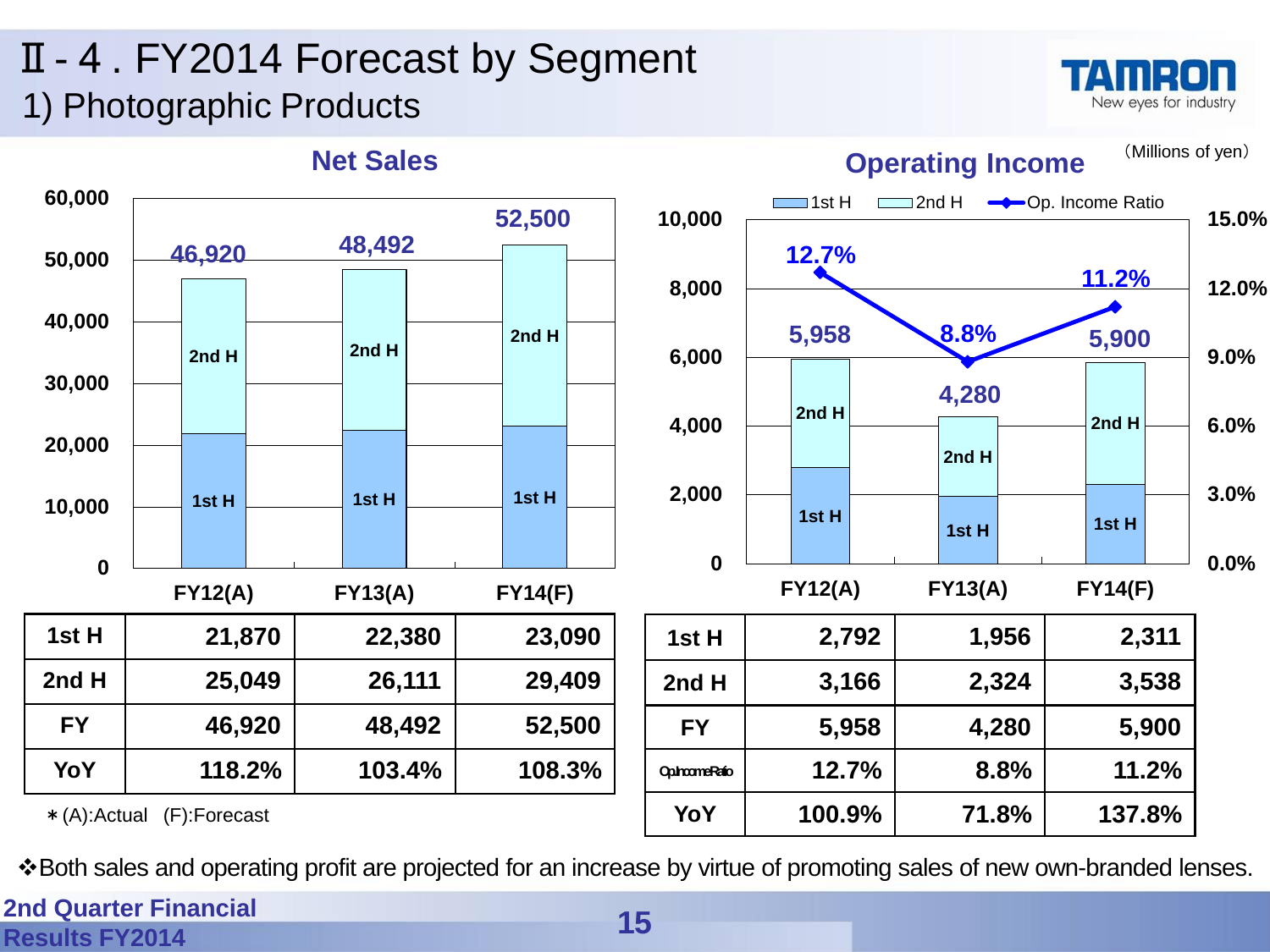#### Ⅱ-4. FY2014 Forecast by Segment 1) Photographic Products





(Millions of yen)

Both sales and operating profit are projected for an increase by virtue of promoting sales of new own-branded lenses.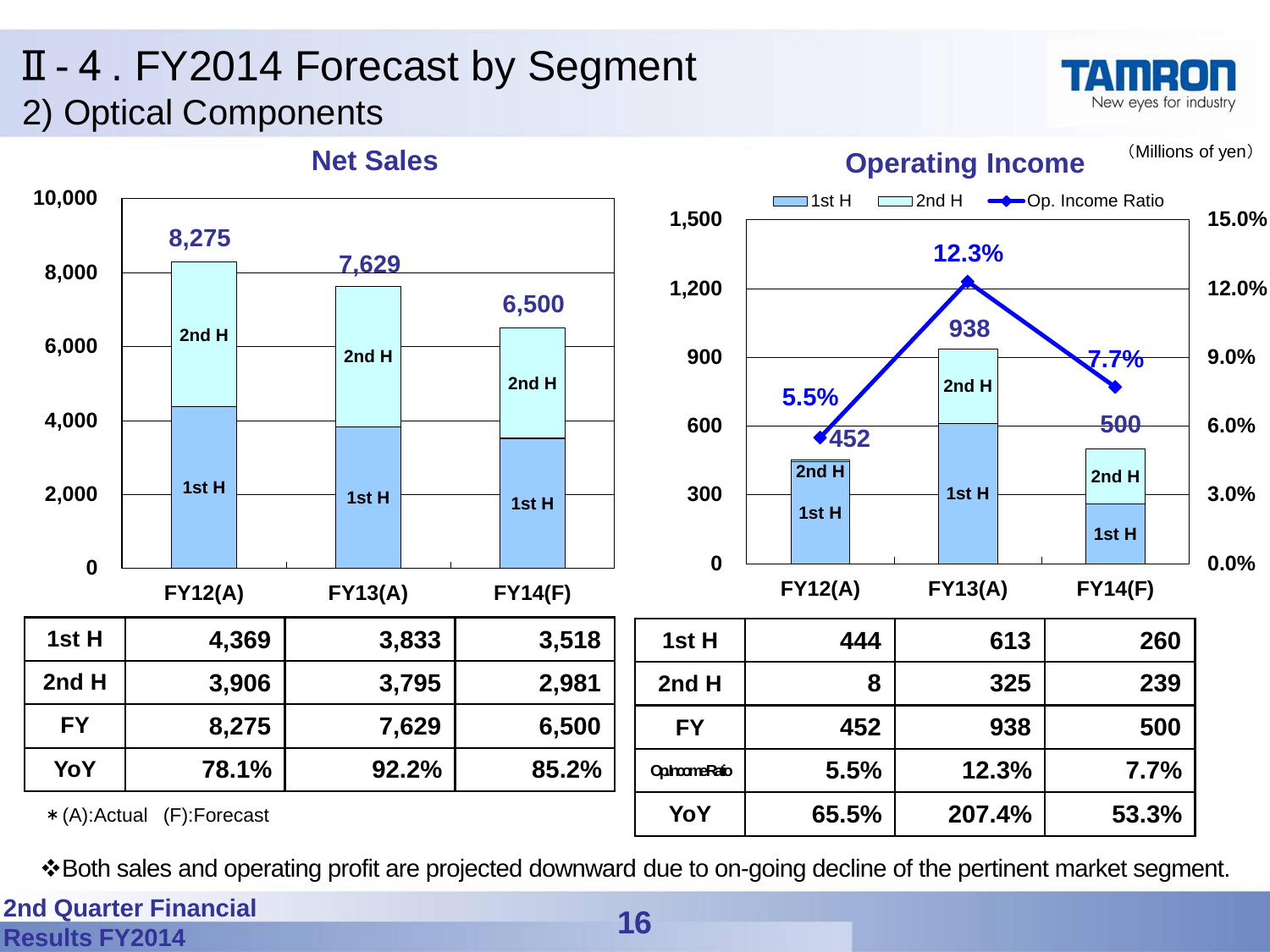#### Ⅱ-4. FY2014 Forecast by Segment 2) Optical Components





Both sales and operating profit are projected downward due to on-going decline of the pertinent market segment.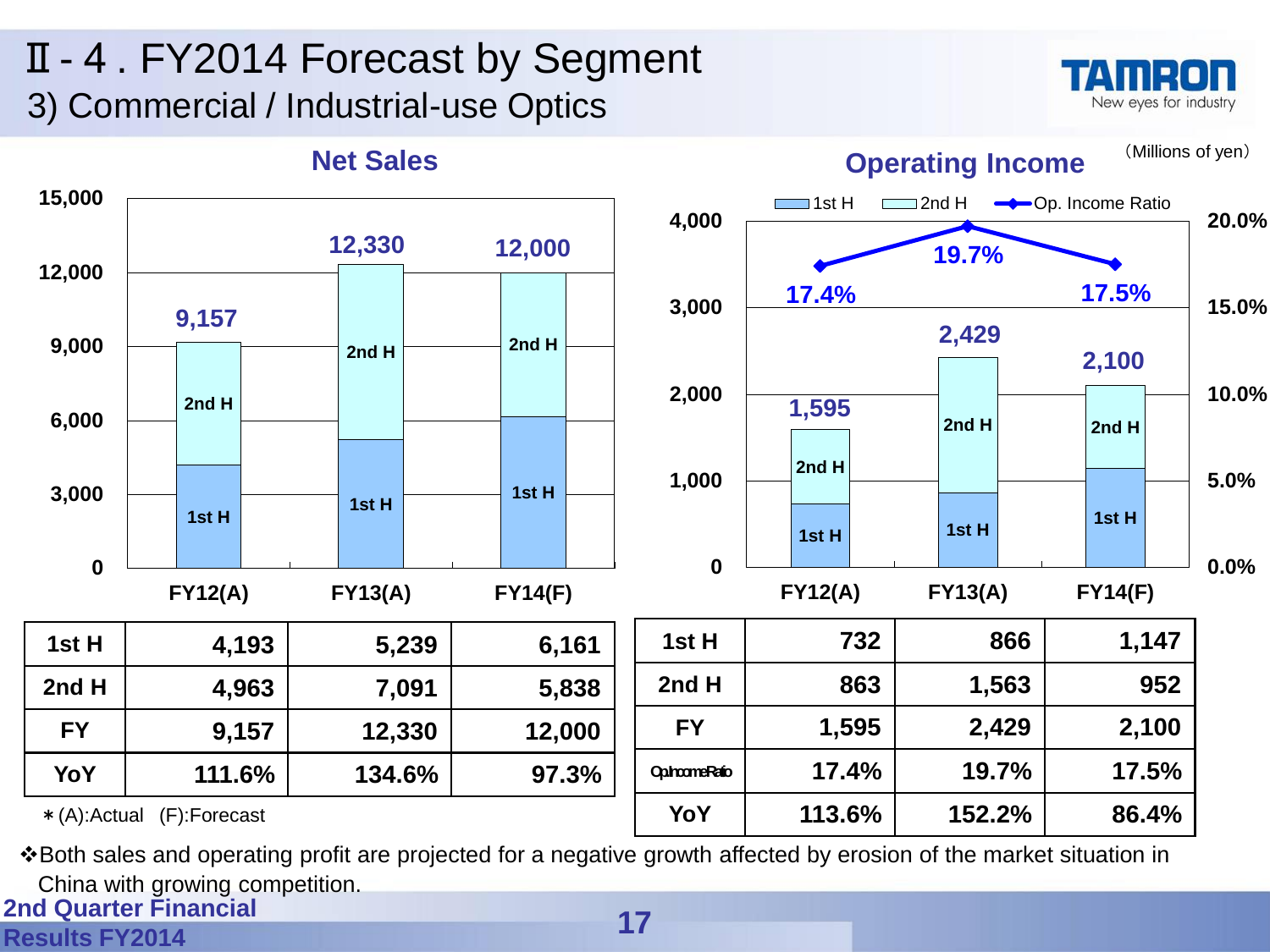#### Ⅱ-4. FY2014 Forecast by Segment 3) Commercial / Industrial-use Optics





Both sales and operating profit are projected for a negative growth affected by erosion of the market situation in China with growing competition.

**2nd Quarter Financial** 

**Results FY2014**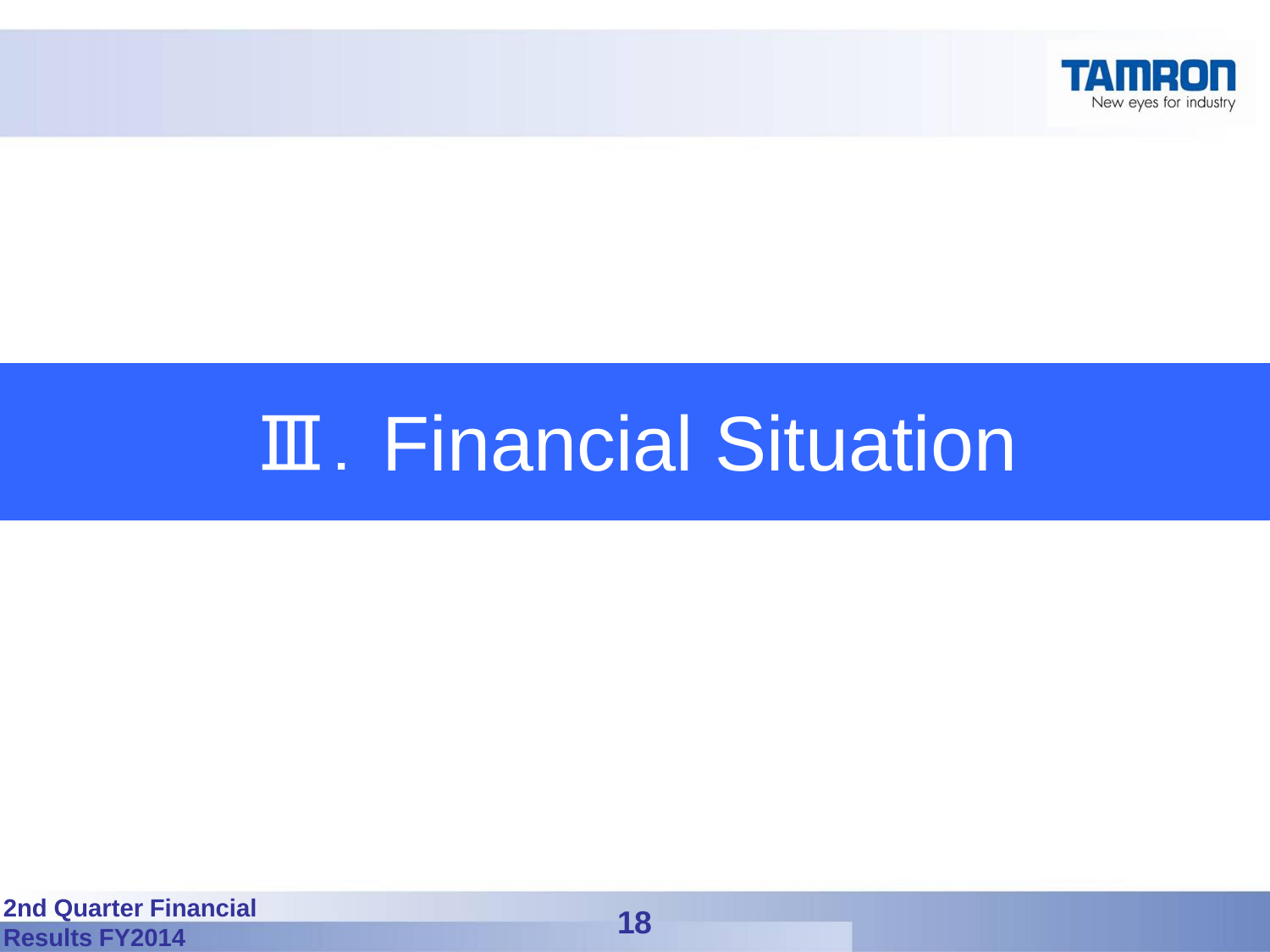

## Ⅲ.Financial Situation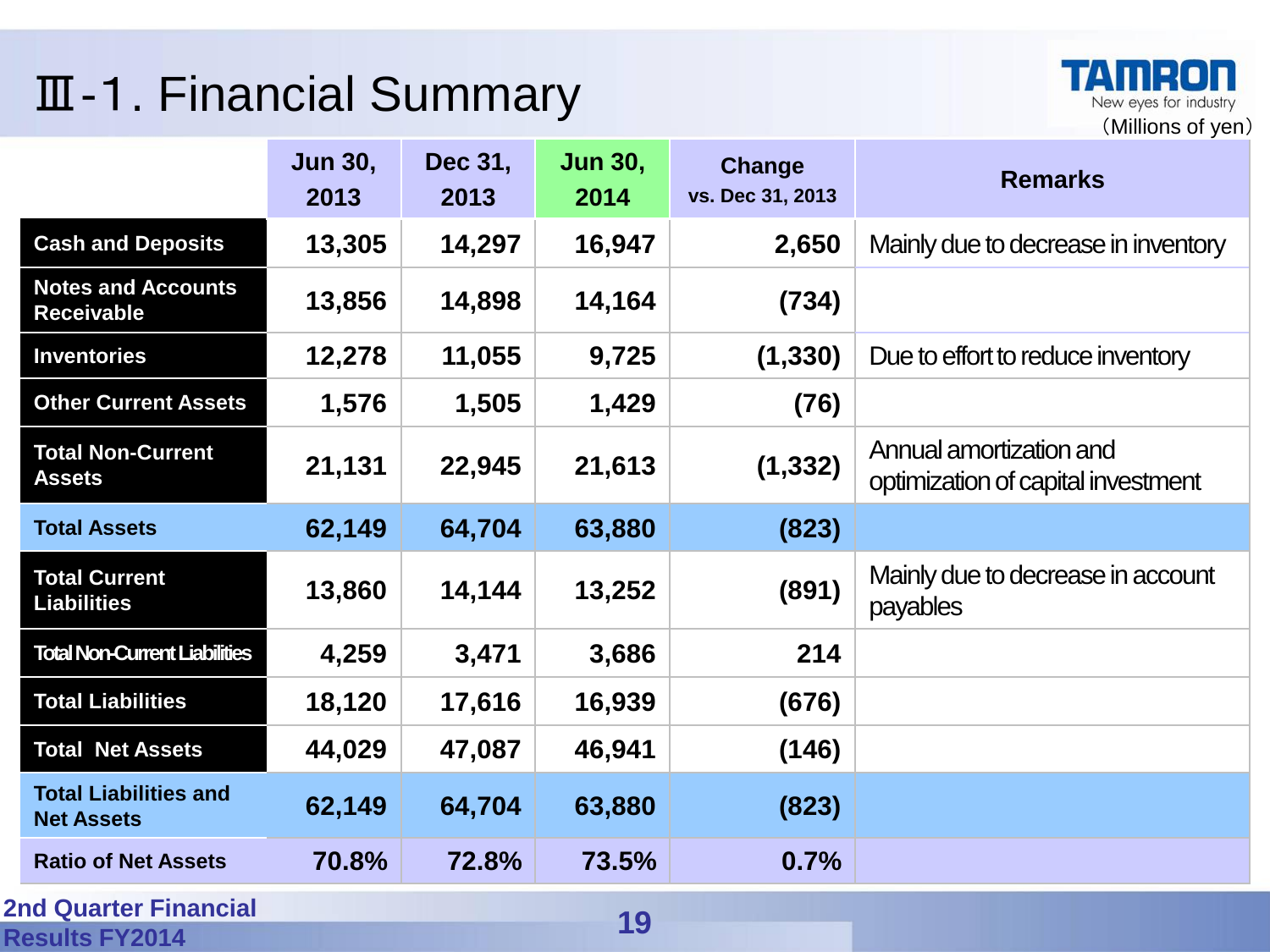## Ⅲ-1. Financial Summary



|                                                       | <b>Jun 30,</b><br>2013 | Dec 31,<br>2013 | <b>Jun 30.</b><br>2014 | Change<br>vs. Dec 31, 2013 | <b>Remarks</b>                                                |
|-------------------------------------------------------|------------------------|-----------------|------------------------|----------------------------|---------------------------------------------------------------|
| <b>Cash and Deposits</b>                              | 13,305                 | 14,297          | 16,947                 | 2,650                      | Mainly due to decrease in inventory                           |
| <b>Notes and Accounts</b><br><b>Receivable</b>        | 13,856                 | 14,898          | 14,164                 | (734)                      |                                                               |
| <b>Inventories</b>                                    | 12,278                 | 11,055          | 9,725                  | (1, 330)                   | Due to effort to reduce inventory                             |
| <b>Other Current Assets</b>                           | 1,576                  | 1,505           | 1,429                  | (76)                       |                                                               |
| <b>Total Non-Current</b><br><b>Assets</b>             | 21,131                 | 22,945          | 21,613                 | (1, 332)                   | Annual amortization and<br>optimization of capital investment |
| <b>Total Assets</b>                                   | 62,149                 | 64,704          | 63,880                 | (823)                      |                                                               |
| <b>Total Current</b><br><b>Liabilities</b>            | 13,860                 | 14,144          | 13,252                 | (891)                      | Mainly due to decrease in account<br>payables                 |
| <b>Total Non-Current Liabilities</b>                  | 4,259                  | 3,471           | 3,686                  | 214                        |                                                               |
| <b>Total Liabilities</b>                              | 18,120                 | 17,616          | 16,939                 | (676)                      |                                                               |
| <b>Total Net Assets</b>                               | 44,029                 | 47,087          | 46,941                 | (146)                      |                                                               |
| <b>Total Liabilities and</b><br><b>Net Assets</b>     | 62,149                 | 64,704          | 63,880                 | (823)                      |                                                               |
| <b>Ratio of Net Assets</b>                            | 70.8%                  | 72.8%           | 73.5%                  | 0.7%                       |                                                               |
| <b>2nd Quarter Financial</b><br><b>Results FY2014</b> |                        |                 | 19                     |                            |                                                               |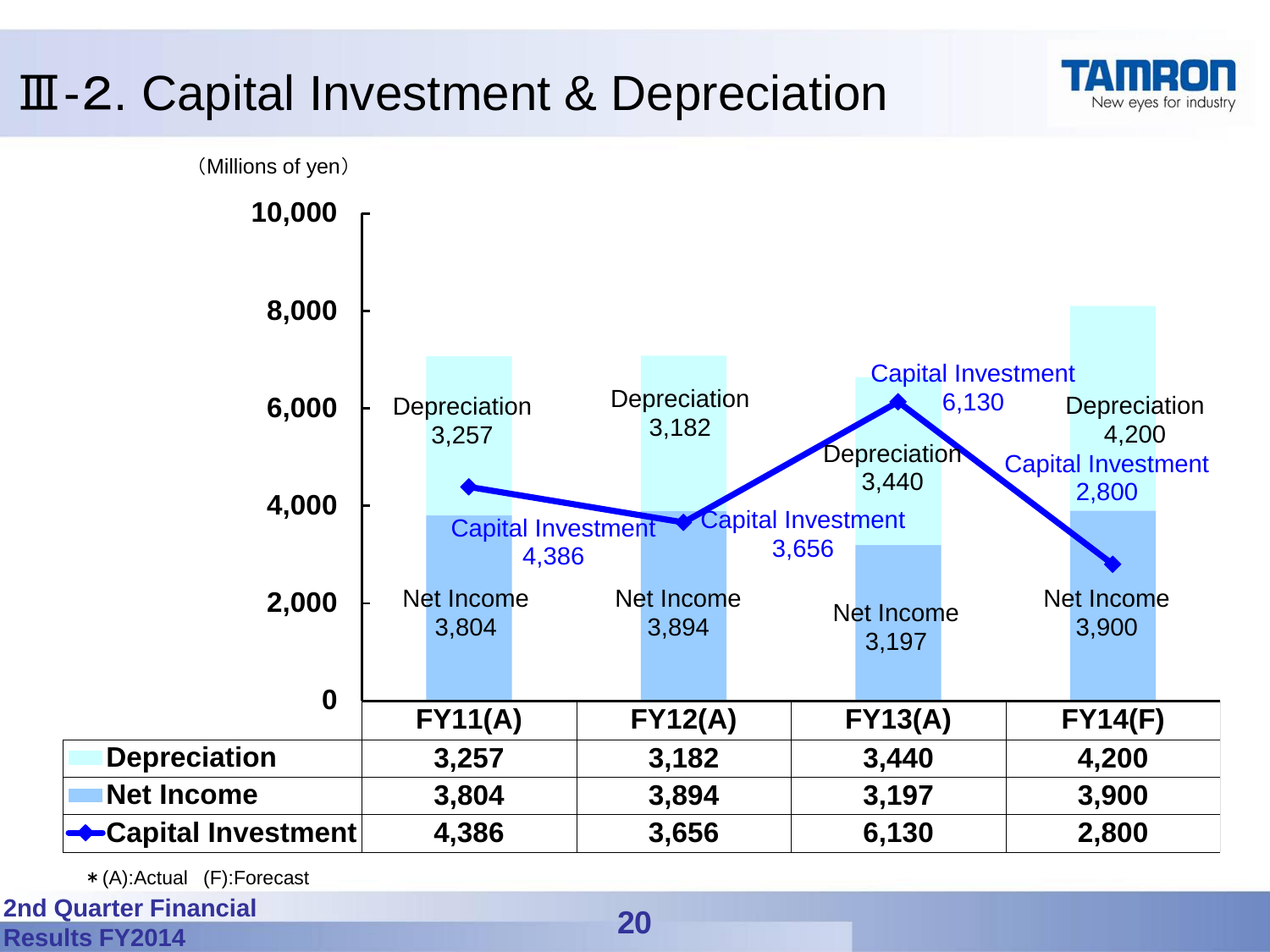## Ⅲ-2. Capital Investment & Depreciation



New eves for industry

\*(A):Actual (F):Forecast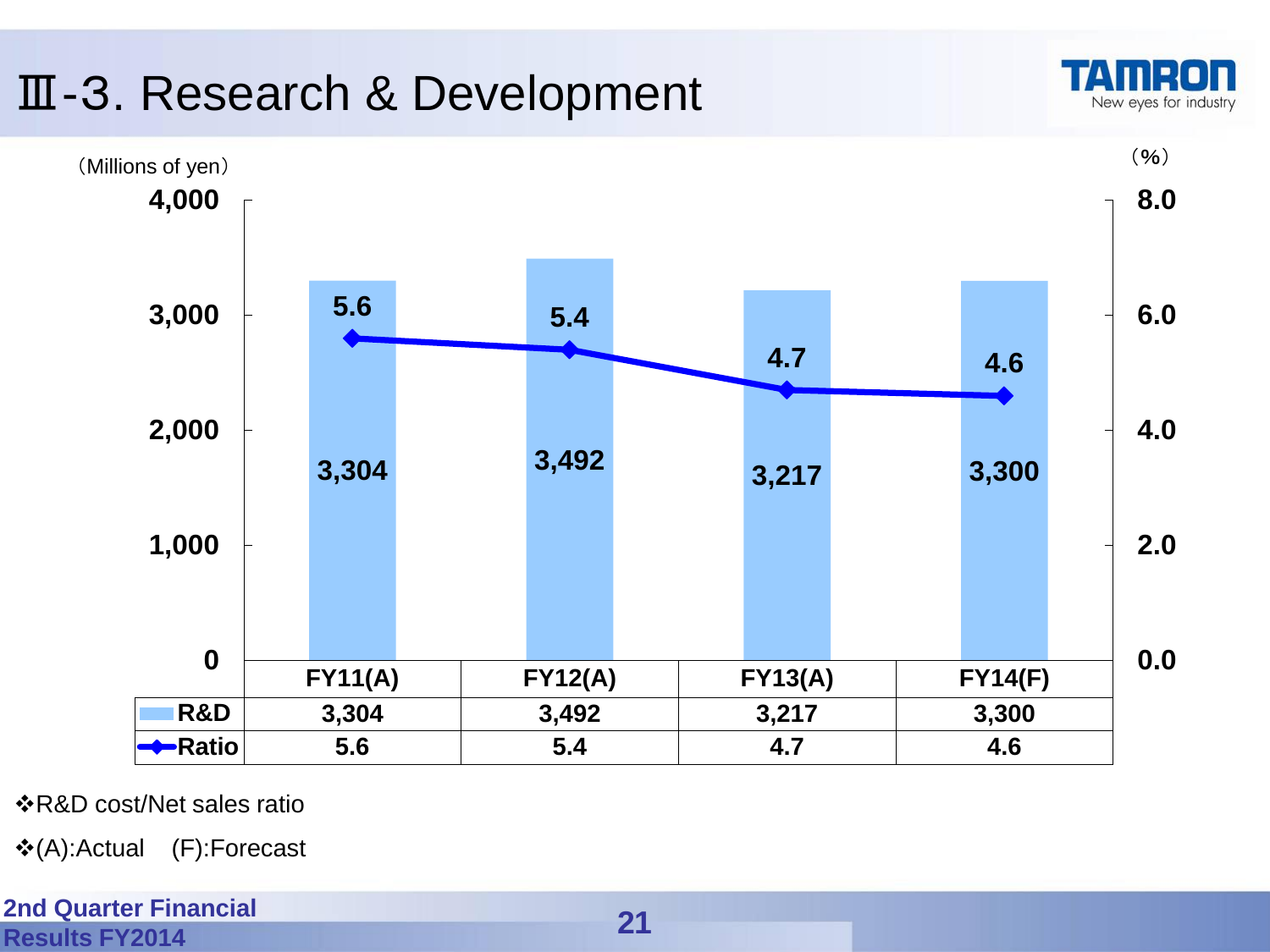## Ⅲ-3. Research & Development





**\*R&D cost/Net sales ratio** 

(A):Actual (F):Forecast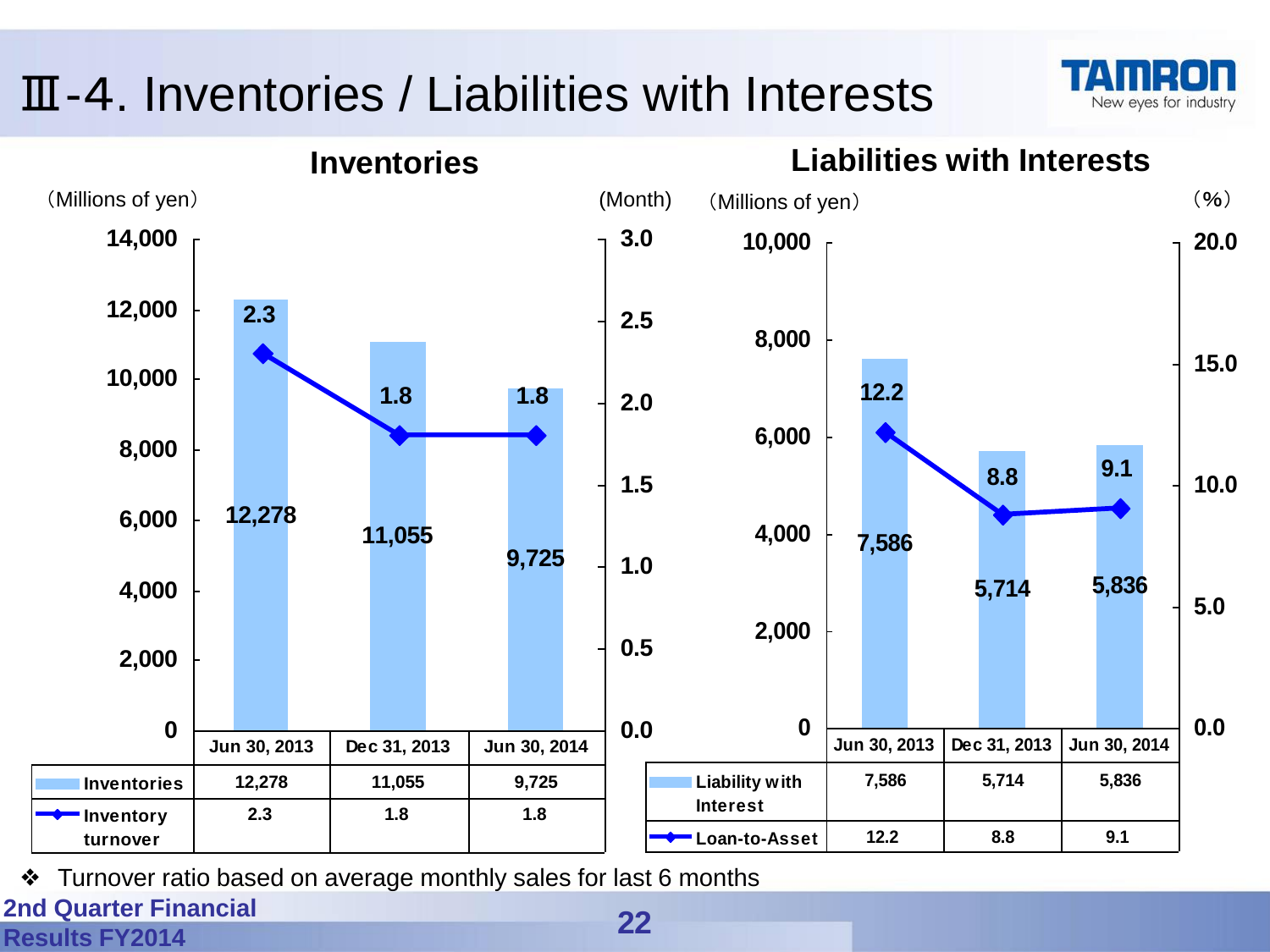## Ⅲ-4. Inventories / Liabilities with Interests





❖ Turnover ratio based on average monthly sales for last 6 months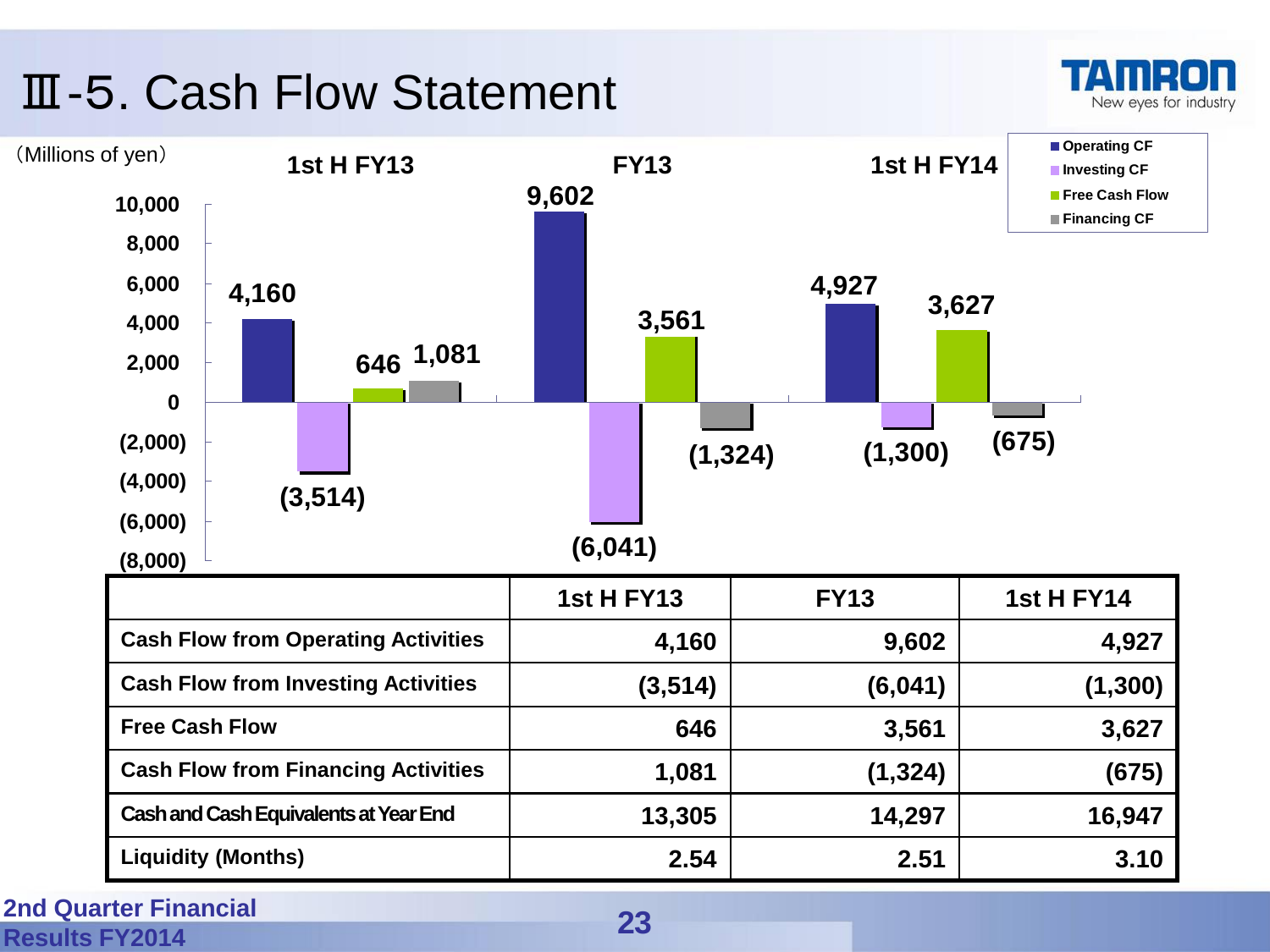## Ⅲ-5. Cash Flow Statement



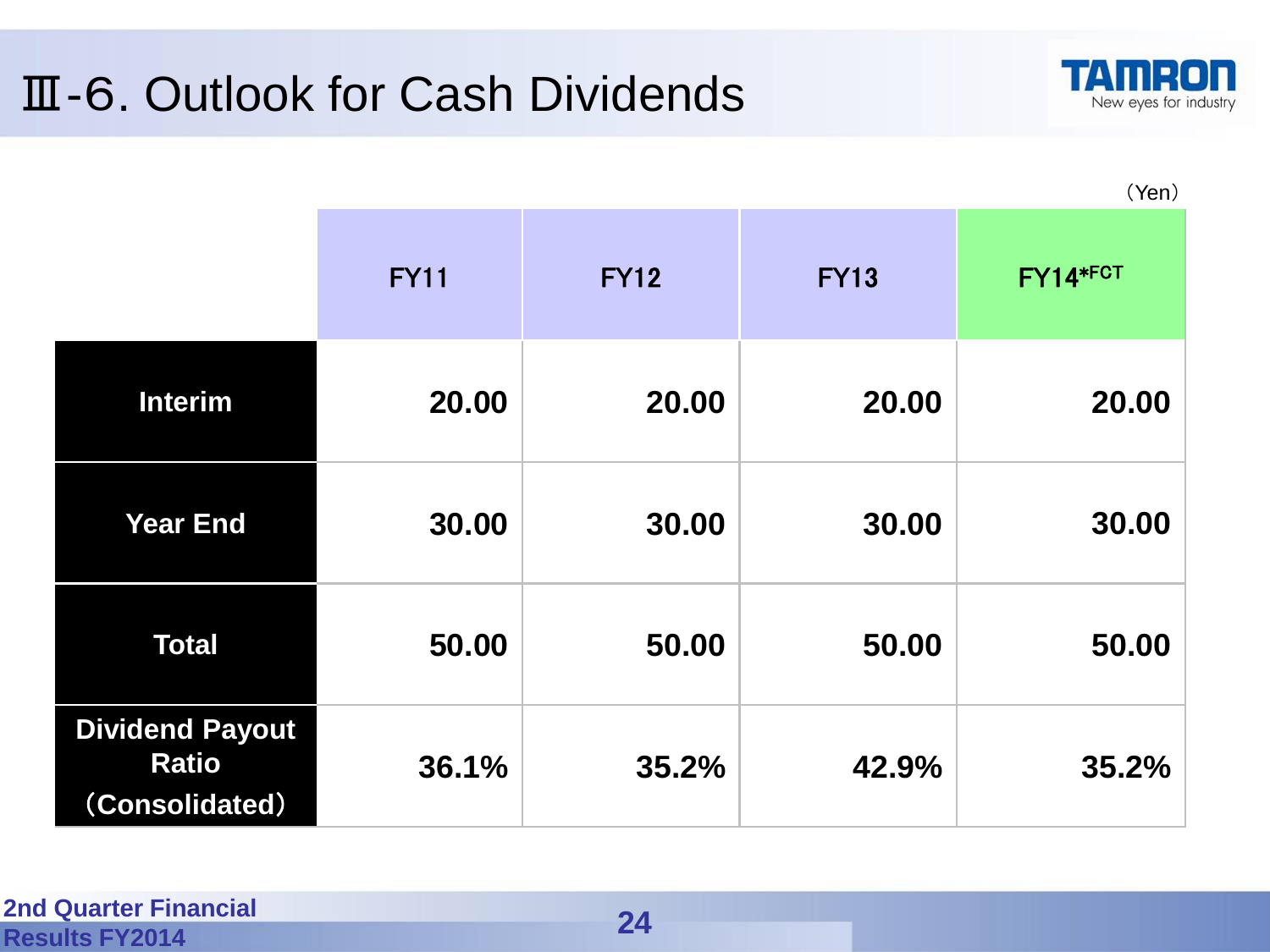## Ⅲ-6. Outlook for Cash Dividends



(Yen)

|                                                          | <b>FY11</b> | <b>FY12</b> | <b>FY13</b> | FY14*FCT |
|----------------------------------------------------------|-------------|-------------|-------------|----------|
| <b>Interim</b>                                           | 20.00       | 20.00       | 20.00       | 20.00    |
| <b>Year End</b>                                          | 30.00       | 30.00       | 30.00       | 30.00    |
| <b>Total</b>                                             | 50.00       | 50.00       | 50.00       | 50.00    |
| <b>Dividend Payout</b><br><b>Ratio</b><br>(Consolidated) | 36.1%       | 35.2%       | 42.9%       | 35.2%    |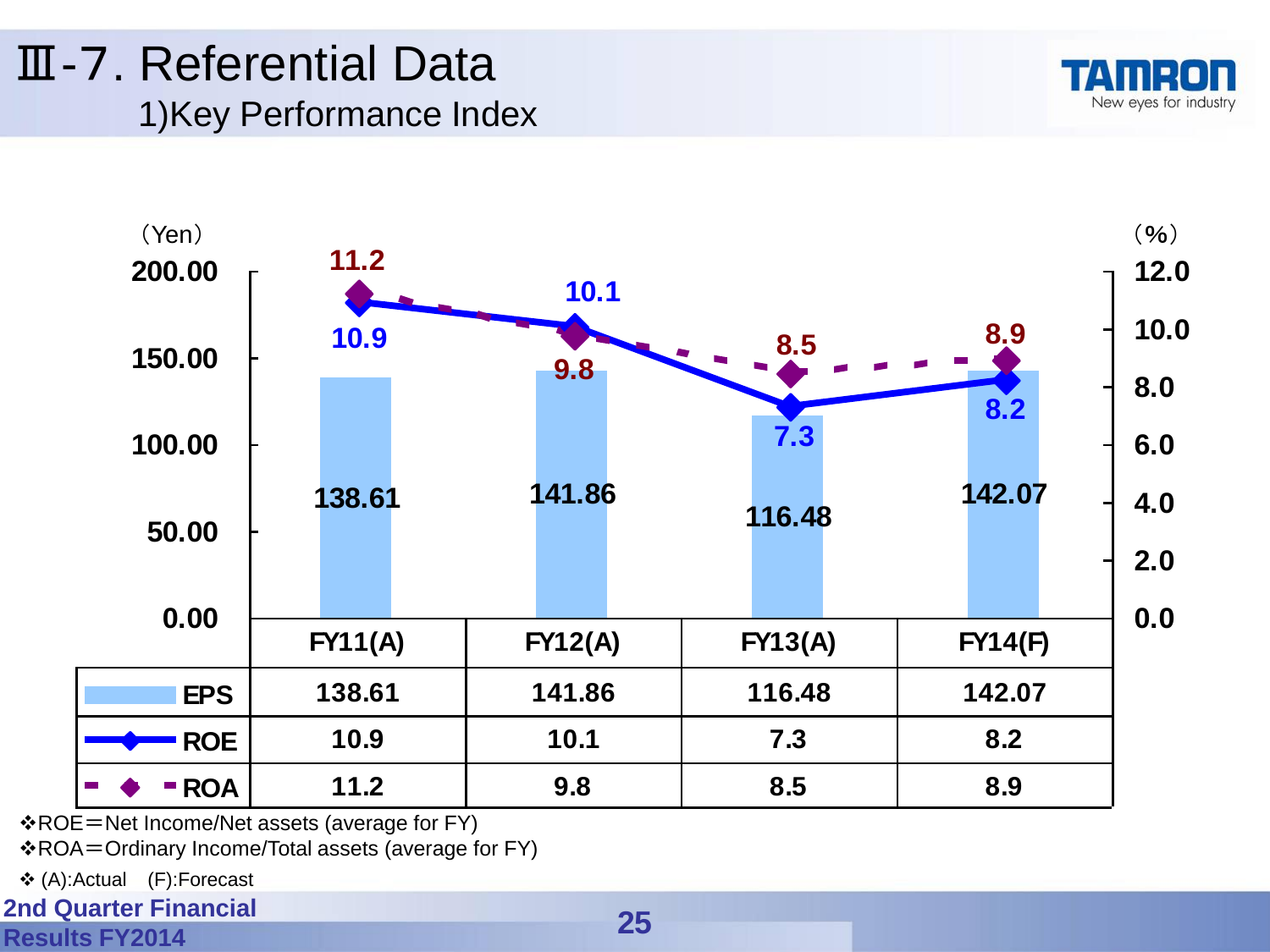#### Ⅲ-7. Referential Data 1)Key Performance Index





ROE=Net Income/Net assets (average for FY)

ROA=Ordinary Income/Total assets (average for FY)

(A):Actual (F):Forecast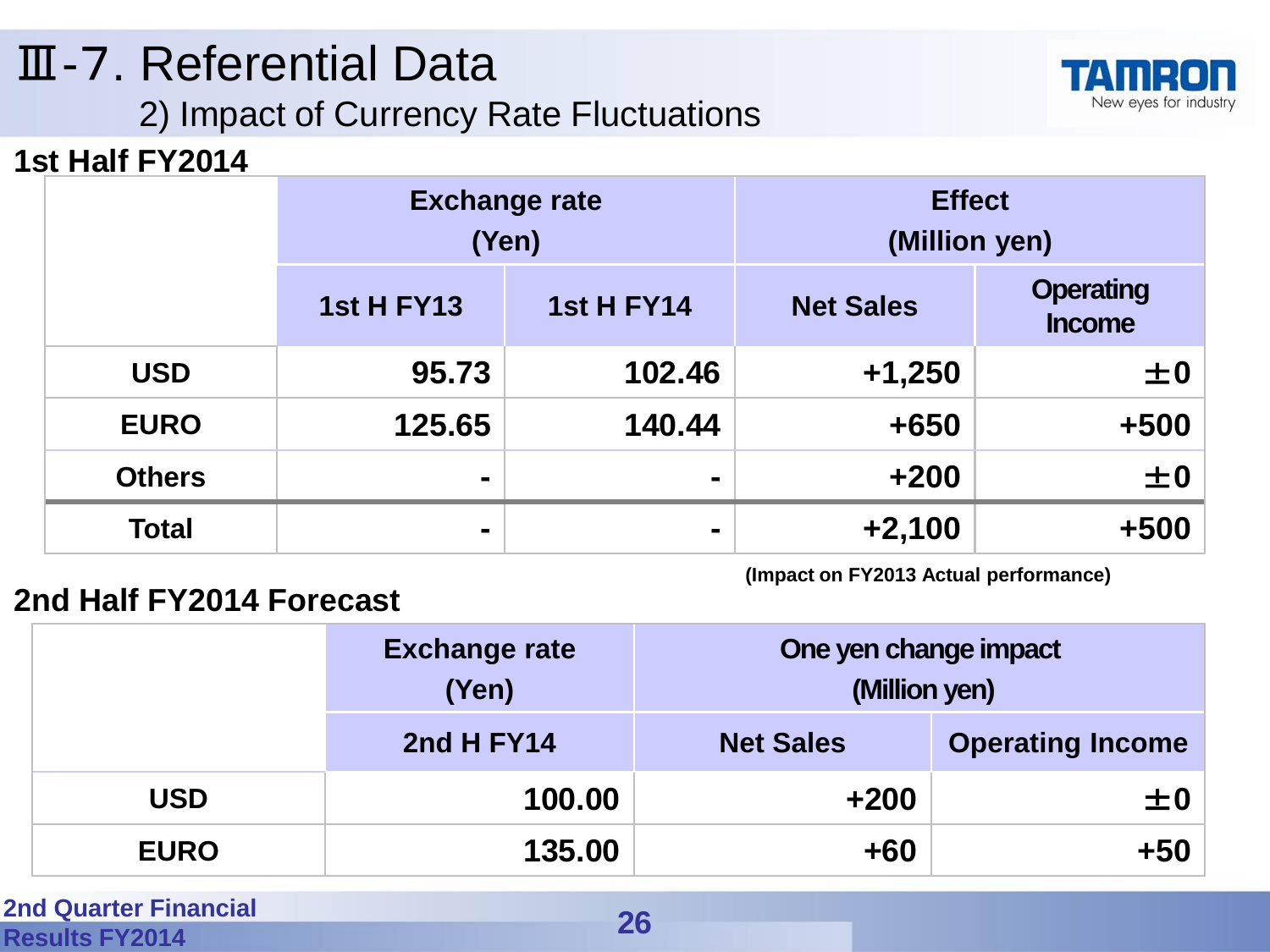## Ⅲ-7. Referential Data

2) Impact of Currency Rate Fluctuations



#### **1st Half FY2014**

|               | <b>Exchange rate</b><br>(Yen) |                   | <b>Effect</b><br>(Million yen) |                                   |
|---------------|-------------------------------|-------------------|--------------------------------|-----------------------------------|
|               | <b>1st H FY13</b>             | <b>1st H FY14</b> | <b>Net Sales</b>               | <b>Operating</b><br><b>Income</b> |
| <b>USD</b>    | 95.73                         | 102.46            | $+1,250$                       | ±0                                |
| <b>EURO</b>   | 125.65                        | 140.44            | +650                           | $+500$                            |
| <b>Others</b> |                               | $\blacksquare$    | $+200$                         | ±0                                |
| <b>Total</b>  | $\blacksquare$                | -                 | $+2,100$                       | $+500$                            |

**(Impact on FY2013 Actual performance)**

#### **2nd Half FY2014 Forecast**

|             | <b>Exchange rate</b><br>(Yen) | One yen change impact<br>(Million yen) |                         |
|-------------|-------------------------------|----------------------------------------|-------------------------|
|             | <b>2nd H FY14</b>             | <b>Net Sales</b>                       | <b>Operating Income</b> |
| <b>USD</b>  | 100.00                        | $+200$                                 | $\pm 0$                 |
| <b>EURO</b> | 135.00                        | $+60$                                  | $+50$                   |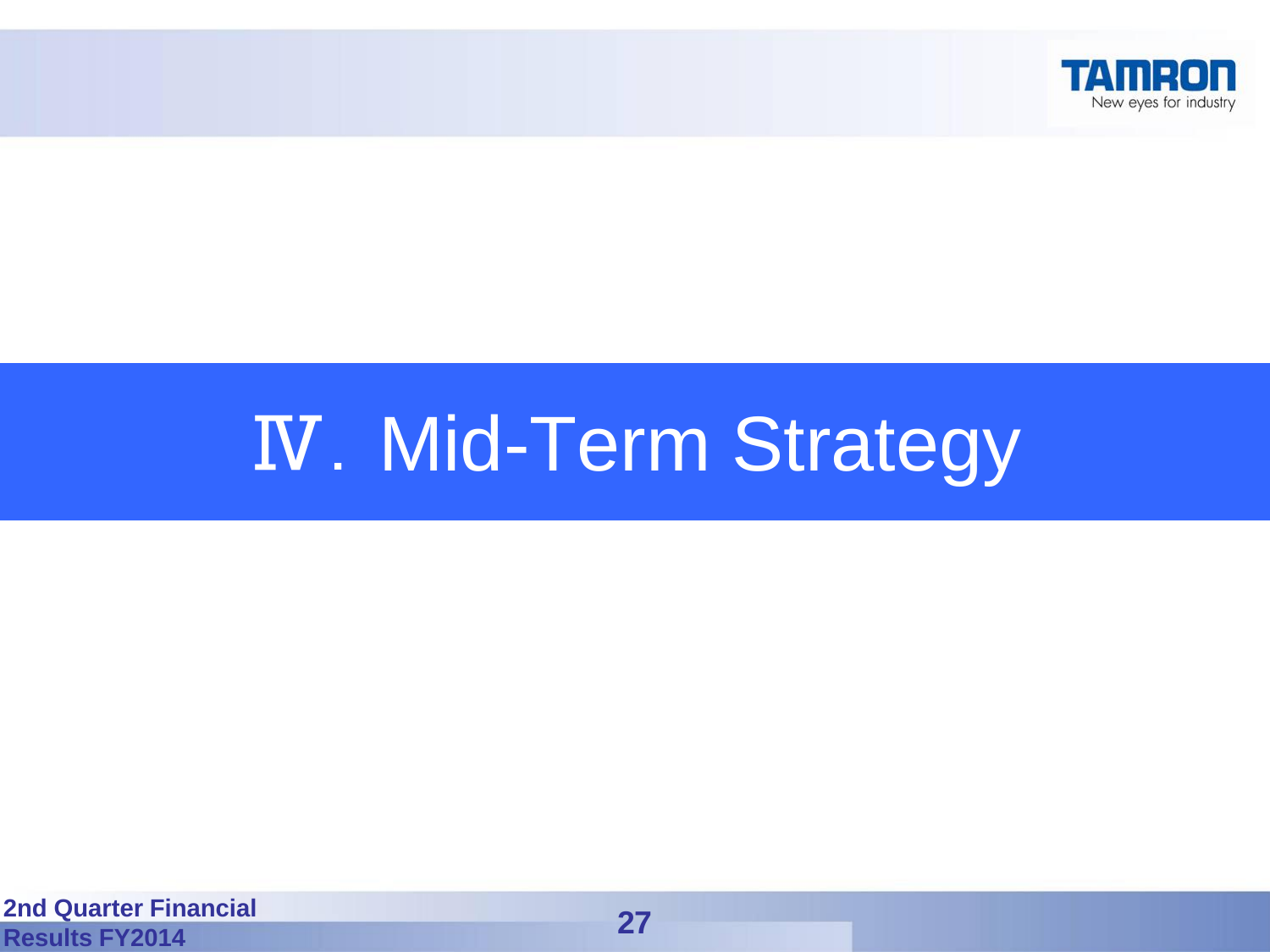

## Ⅳ.Mid-Term Strategy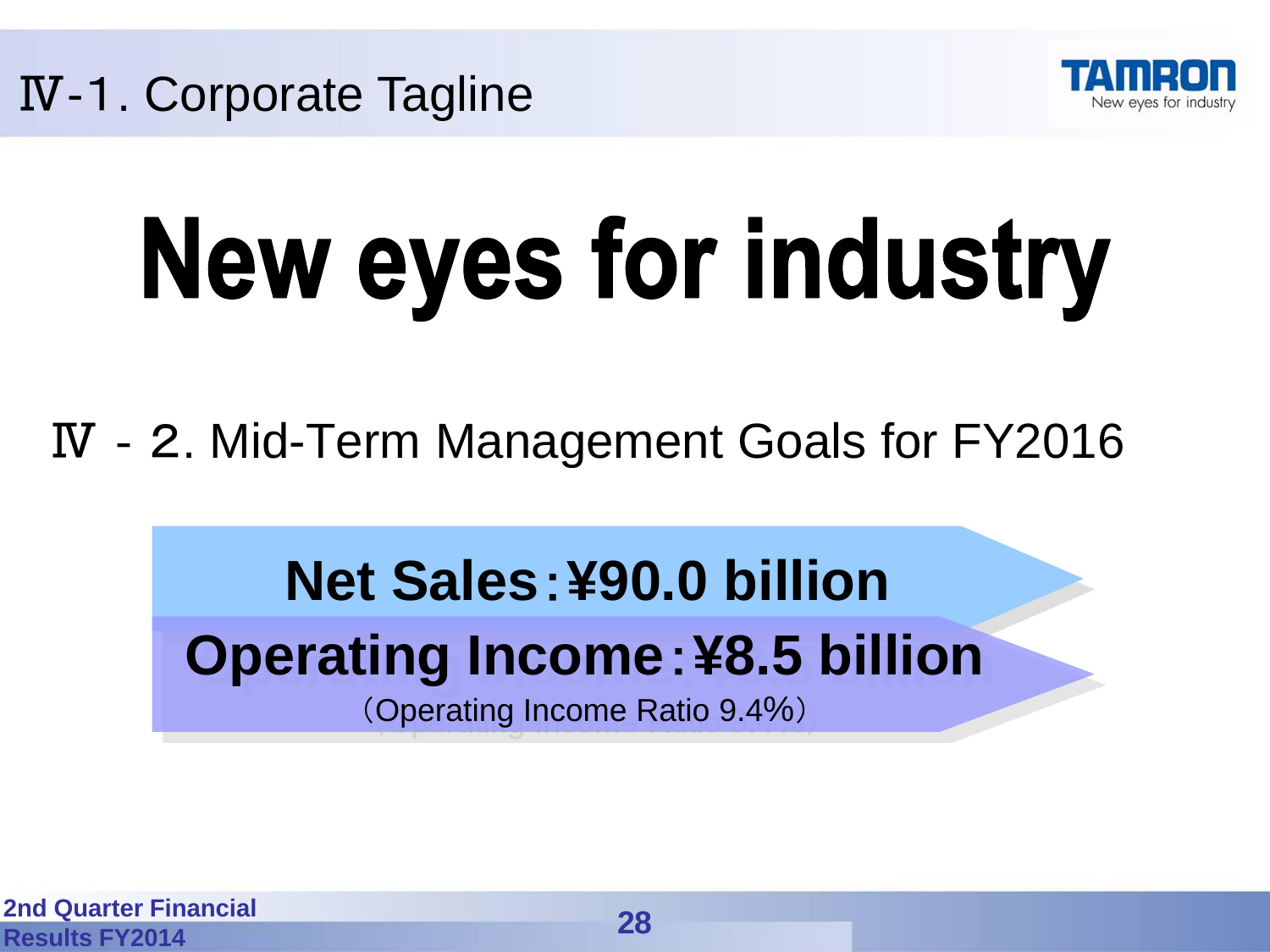

#### Ⅳ-1. Corporate Tagline

# **New eyes for industry**

Ⅳ‐2. Mid-Term Management Goals for FY2016

## **Net Sales**:**¥90.0 billion Operating Income**:**¥8.5 billion**

(Operating Income Ratio 9.4%)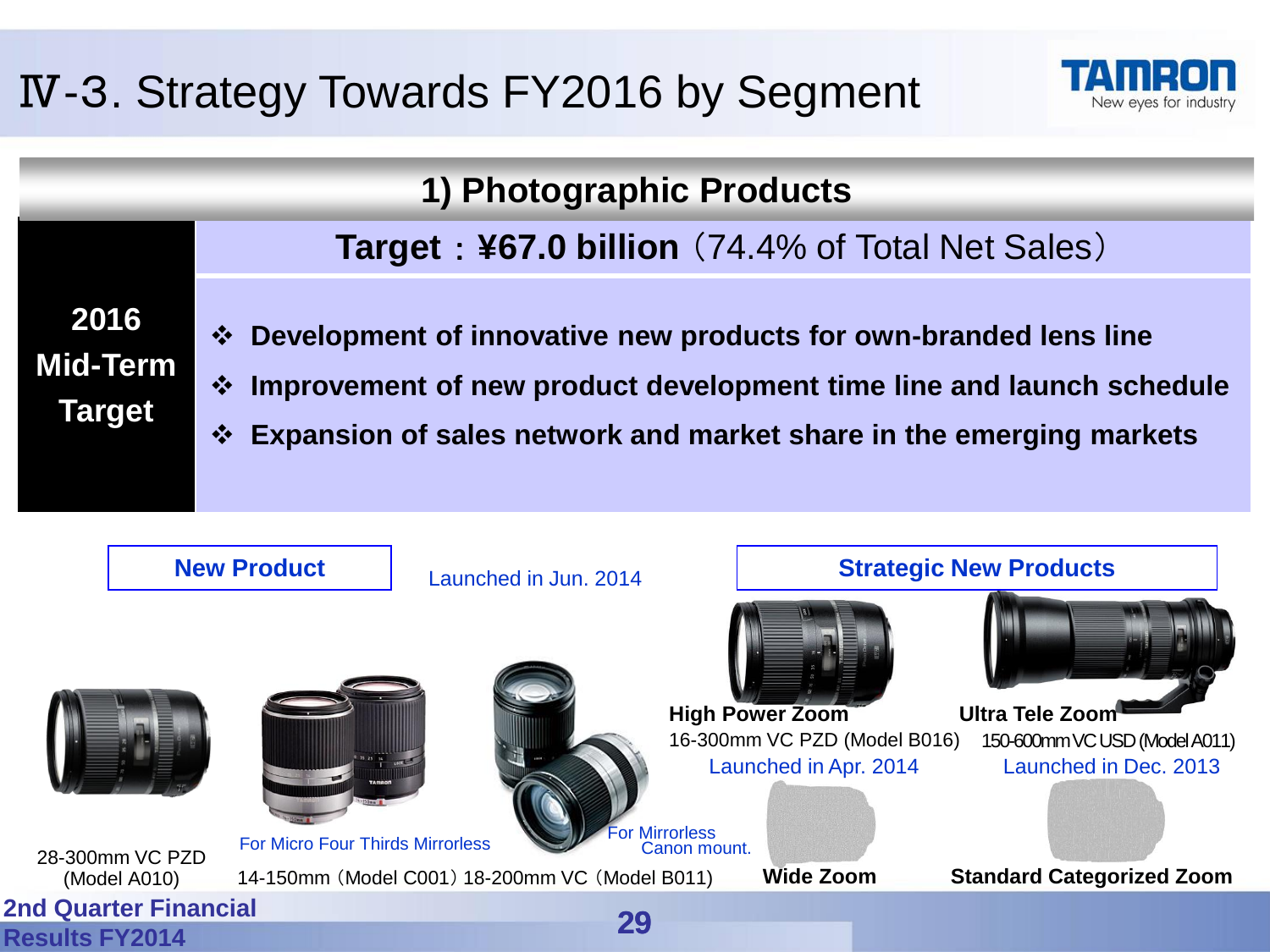#### Ⅳ-3. Strategy Towards FY2016 by Segment





**Results FY2014**

**29**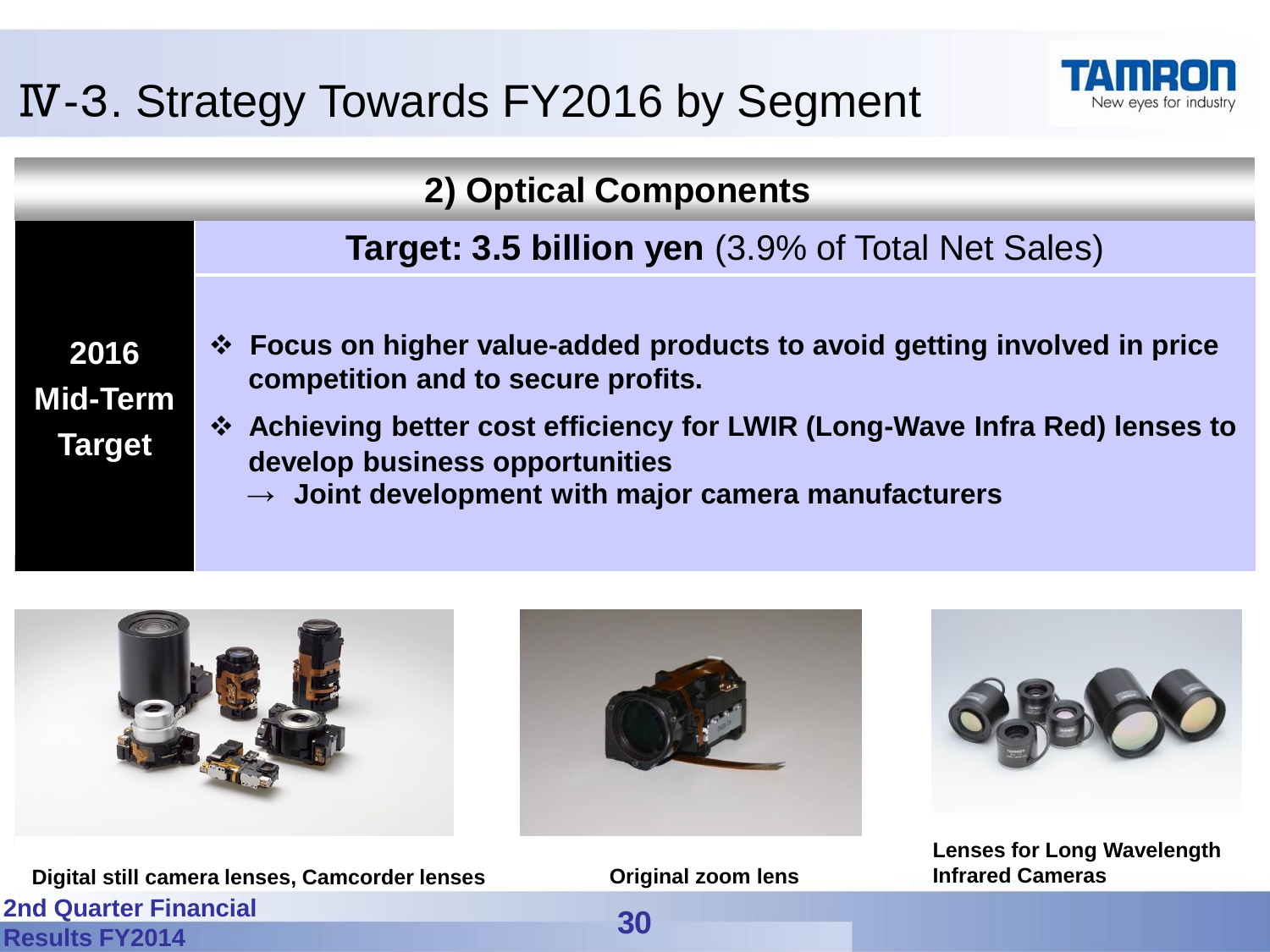#### Ⅳ-3. Strategy Towards FY2016 by Segment



|                                          | <b>2) Optical Components</b>                                                                                                                                                                                                                                                                        |
|------------------------------------------|-----------------------------------------------------------------------------------------------------------------------------------------------------------------------------------------------------------------------------------------------------------------------------------------------------|
|                                          | <b>Target: 3.5 billion yen</b> (3.9% of Total Net Sales)                                                                                                                                                                                                                                            |
| 2016<br><b>Mid-Term</b><br><b>Target</b> | ❖ Focus on higher value-added products to avoid getting involved in price<br>competition and to secure profits.<br>❖ Achieving better cost efficiency for LWIR (Long-Wave Infra Red) lenses to<br>develop business opportunities<br>$\rightarrow$ Joint development with major camera manufacturers |



**2nd Quarter Financial Results FY2014 Digital still camera lenses, Camcorder lenses Cameras Conservation Cameras Cameras Cameras** 



**Original zoom lens** 



**Lenses for Long Wavelength** 

**30**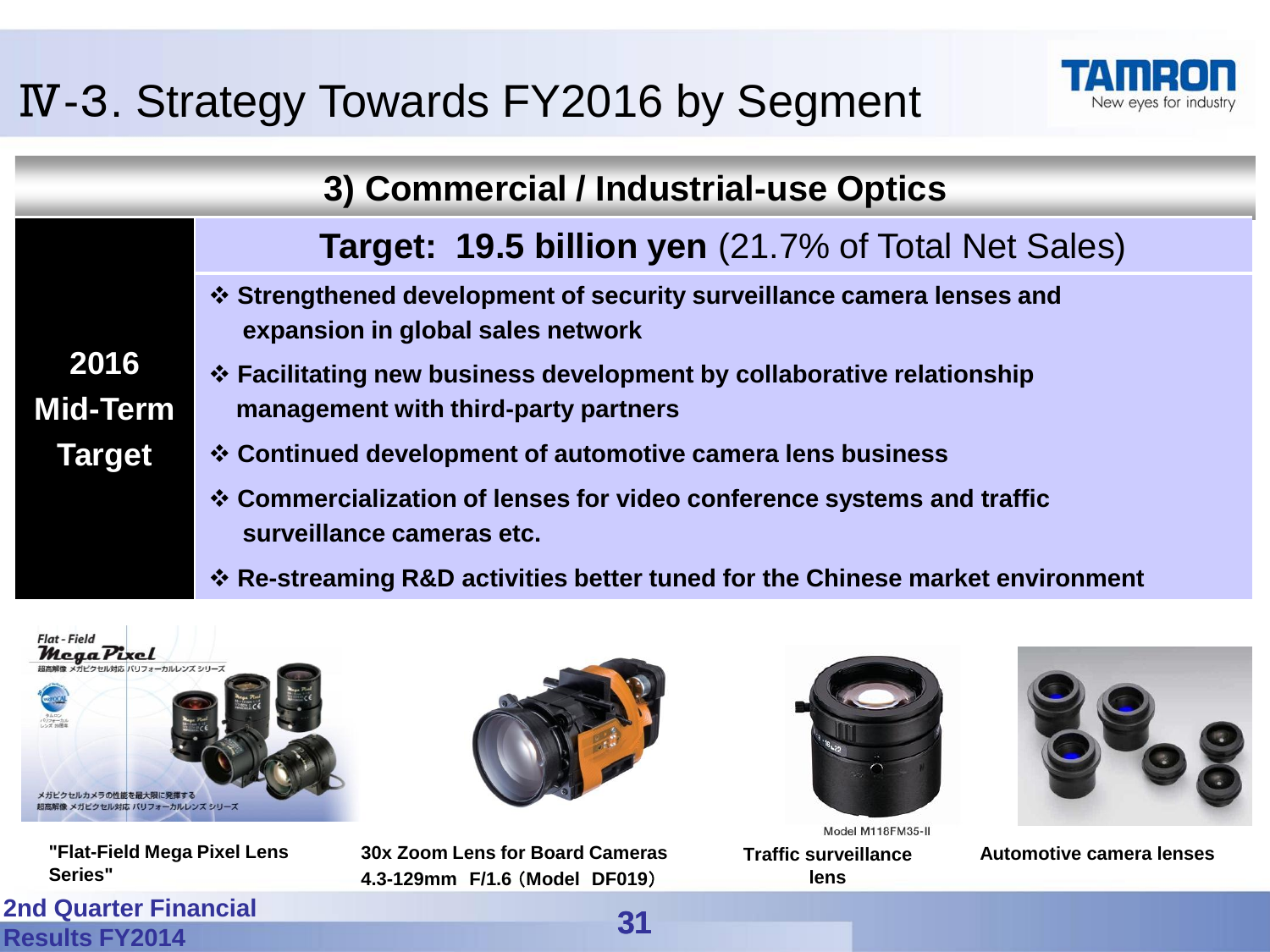#### Ⅳ-3. Strategy Towards FY2016 by Segment



|                  | 3) Commercial / Industrial-use Optics                                                                         |
|------------------|---------------------------------------------------------------------------------------------------------------|
|                  | <b>Target: 19.5 billion yen</b> (21.7% of Total Net Sales)                                                    |
|                  | ❖ Strengthened development of security surveillance camera lenses and<br>expansion in global sales network    |
| 2016<br>Mid-Term | ❖ Facilitating new business development by collaborative relationship<br>management with third-party partners |
| Target           | ❖ Continued development of automotive camera lens business                                                    |
|                  | ❖ Commercialization of lenses for video conference systems and traffic<br>surveillance cameras etc.           |
|                  | ❖ Re-streaming R&D activities better tuned for the Chinese market environment                                 |



**"Flat-Field Mega Pixel Lens Series"**



**30x Zoom Lens for Board Cameras 4.3-129mm F/1.6** (**Model DF019**)



**lens** 



**Traffic surveillance Automotive camera lenses**

**2nd Quarter Financial Results FY2014**

**31**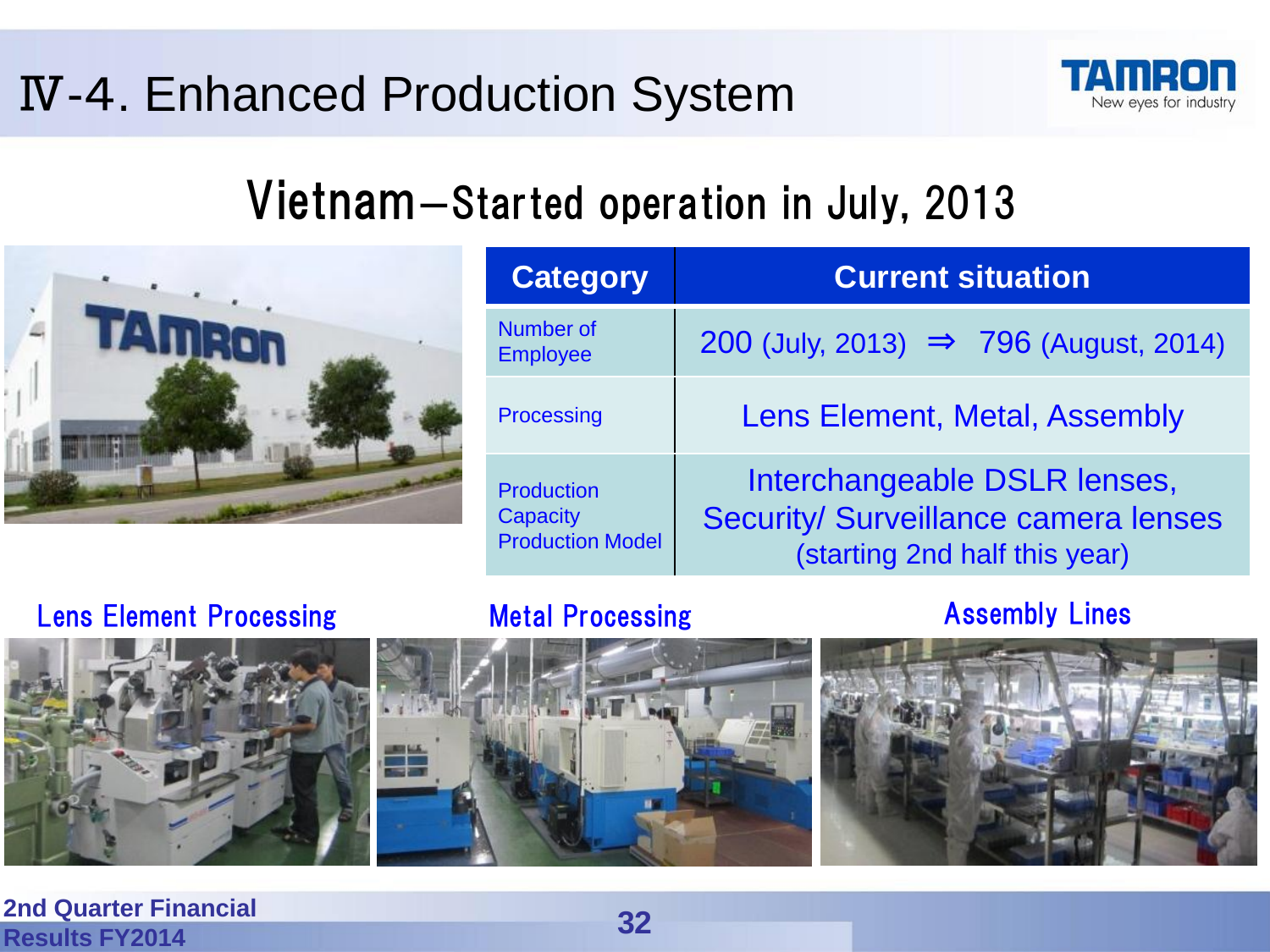## Ⅳ-4. Enhanced Production System



#### Vietnam-Started operation in July, 2013



| <b>Category</b>                                          | <b>Current situation</b>                                                                                     |  |
|----------------------------------------------------------|--------------------------------------------------------------------------------------------------------------|--|
| Number of<br><b>Employee</b>                             | 200 (July, 2013) $\Rightarrow$ 796 (August, 2014)                                                            |  |
| Processing                                               | <b>Lens Element, Metal, Assembly</b>                                                                         |  |
| <b>Production</b><br>Capacity<br><b>Production Model</b> | Interchangeable DSLR lenses,<br><b>Security/ Surveillance camera lenses</b><br>(starting 2nd half this year) |  |

Lens Element Processing **Metal Processing Community Assembly Lines**